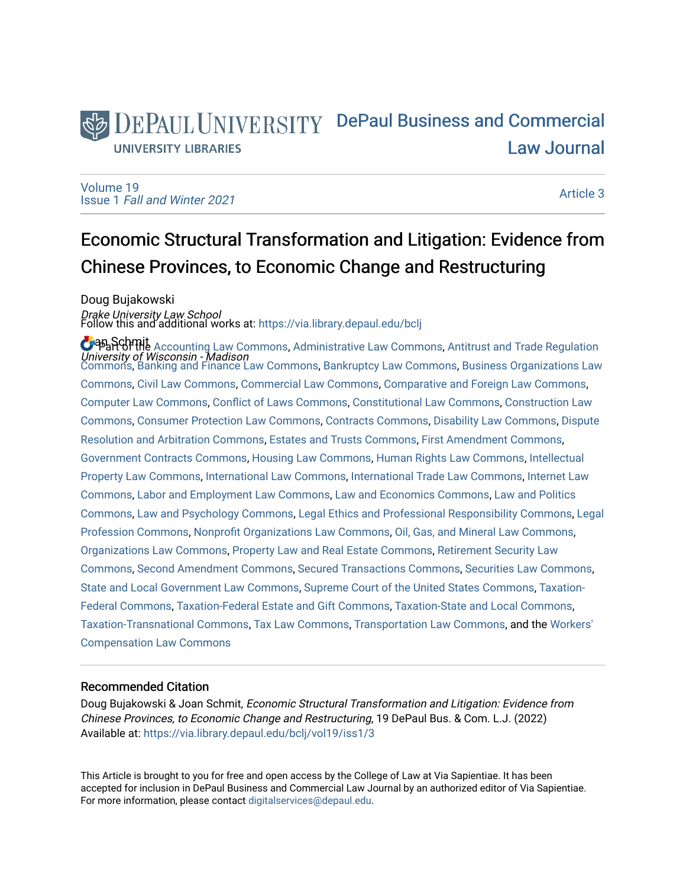# DEPAUL UNIVERSITY DePaul Business and Commercial [Law Journal](https://via.library.depaul.edu/bclj)  **UNIVERSITY LIBRARIES**

[Volume 19](https://via.library.depaul.edu/bclj/vol19) Issue 1 [Fall and Winter 2021](https://via.library.depaul.edu/bclj/vol19/iss1) 

[Article 3](https://via.library.depaul.edu/bclj/vol19/iss1/3) 

# Economic Structural Transformation and Litigation: Evidence from Chinese Provinces, to Economic Change and Restructuring

Doug Bujakowski *Drake University Law School*<br>Follow this and additional works at: https://via.library.depaul.edu/bclj

**O** Barchmit [Accounting Law Commons](http://network.bepress.com/hgg/discipline/828?utm_source=via.library.depaul.edu%2Fbclj%2Fvol19%2Fiss1%2F3&utm_medium=PDF&utm_campaign=PDFCoverPages), [Administrative Law Commons](http://network.bepress.com/hgg/discipline/579?utm_source=via.library.depaul.edu%2Fbclj%2Fvol19%2Fiss1%2F3&utm_medium=PDF&utm_campaign=PDFCoverPages), [Antitrust and Trade Regulation](http://network.bepress.com/hgg/discipline/911?utm_source=via.library.depaul.edu%2Fbclj%2Fvol19%2Fiss1%2F3&utm_medium=PDF&utm_campaign=PDFCoverPages) University of Wisconsin - Madison [Commons](http://network.bepress.com/hgg/discipline/911?utm_source=via.library.depaul.edu%2Fbclj%2Fvol19%2Fiss1%2F3&utm_medium=PDF&utm_campaign=PDFCoverPages), [Banking and Finance Law Commons](http://network.bepress.com/hgg/discipline/833?utm_source=via.library.depaul.edu%2Fbclj%2Fvol19%2Fiss1%2F3&utm_medium=PDF&utm_campaign=PDFCoverPages), [Bankruptcy Law Commons](http://network.bepress.com/hgg/discipline/583?utm_source=via.library.depaul.edu%2Fbclj%2Fvol19%2Fiss1%2F3&utm_medium=PDF&utm_campaign=PDFCoverPages), [Business Organizations Law](http://network.bepress.com/hgg/discipline/900?utm_source=via.library.depaul.edu%2Fbclj%2Fvol19%2Fiss1%2F3&utm_medium=PDF&utm_campaign=PDFCoverPages)  [Commons](http://network.bepress.com/hgg/discipline/900?utm_source=via.library.depaul.edu%2Fbclj%2Fvol19%2Fiss1%2F3&utm_medium=PDF&utm_campaign=PDFCoverPages), [Civil Law Commons,](http://network.bepress.com/hgg/discipline/835?utm_source=via.library.depaul.edu%2Fbclj%2Fvol19%2Fiss1%2F3&utm_medium=PDF&utm_campaign=PDFCoverPages) [Commercial Law Commons](http://network.bepress.com/hgg/discipline/586?utm_source=via.library.depaul.edu%2Fbclj%2Fvol19%2Fiss1%2F3&utm_medium=PDF&utm_campaign=PDFCoverPages), [Comparative and Foreign Law Commons](http://network.bepress.com/hgg/discipline/836?utm_source=via.library.depaul.edu%2Fbclj%2Fvol19%2Fiss1%2F3&utm_medium=PDF&utm_campaign=PDFCoverPages), [Computer Law Commons](http://network.bepress.com/hgg/discipline/837?utm_source=via.library.depaul.edu%2Fbclj%2Fvol19%2Fiss1%2F3&utm_medium=PDF&utm_campaign=PDFCoverPages), [Conflict of Laws Commons](http://network.bepress.com/hgg/discipline/588?utm_source=via.library.depaul.edu%2Fbclj%2Fvol19%2Fiss1%2F3&utm_medium=PDF&utm_campaign=PDFCoverPages), [Constitutional Law Commons](http://network.bepress.com/hgg/discipline/589?utm_source=via.library.depaul.edu%2Fbclj%2Fvol19%2Fiss1%2F3&utm_medium=PDF&utm_campaign=PDFCoverPages), [Construction Law](http://network.bepress.com/hgg/discipline/590?utm_source=via.library.depaul.edu%2Fbclj%2Fvol19%2Fiss1%2F3&utm_medium=PDF&utm_campaign=PDFCoverPages)  [Commons](http://network.bepress.com/hgg/discipline/590?utm_source=via.library.depaul.edu%2Fbclj%2Fvol19%2Fiss1%2F3&utm_medium=PDF&utm_campaign=PDFCoverPages), [Consumer Protection Law Commons](http://network.bepress.com/hgg/discipline/838?utm_source=via.library.depaul.edu%2Fbclj%2Fvol19%2Fiss1%2F3&utm_medium=PDF&utm_campaign=PDFCoverPages), [Contracts Commons,](http://network.bepress.com/hgg/discipline/591?utm_source=via.library.depaul.edu%2Fbclj%2Fvol19%2Fiss1%2F3&utm_medium=PDF&utm_campaign=PDFCoverPages) [Disability Law Commons,](http://network.bepress.com/hgg/discipline/1074?utm_source=via.library.depaul.edu%2Fbclj%2Fvol19%2Fiss1%2F3&utm_medium=PDF&utm_campaign=PDFCoverPages) [Dispute](http://network.bepress.com/hgg/discipline/890?utm_source=via.library.depaul.edu%2Fbclj%2Fvol19%2Fiss1%2F3&utm_medium=PDF&utm_campaign=PDFCoverPages) [Resolution and Arbitration Commons](http://network.bepress.com/hgg/discipline/890?utm_source=via.library.depaul.edu%2Fbclj%2Fvol19%2Fiss1%2F3&utm_medium=PDF&utm_campaign=PDFCoverPages), [Estates and Trusts Commons,](http://network.bepress.com/hgg/discipline/906?utm_source=via.library.depaul.edu%2Fbclj%2Fvol19%2Fiss1%2F3&utm_medium=PDF&utm_campaign=PDFCoverPages) [First Amendment Commons,](http://network.bepress.com/hgg/discipline/1115?utm_source=via.library.depaul.edu%2Fbclj%2Fvol19%2Fiss1%2F3&utm_medium=PDF&utm_campaign=PDFCoverPages) [Government Contracts Commons,](http://network.bepress.com/hgg/discipline/845?utm_source=via.library.depaul.edu%2Fbclj%2Fvol19%2Fiss1%2F3&utm_medium=PDF&utm_campaign=PDFCoverPages) [Housing Law Commons,](http://network.bepress.com/hgg/discipline/846?utm_source=via.library.depaul.edu%2Fbclj%2Fvol19%2Fiss1%2F3&utm_medium=PDF&utm_campaign=PDFCoverPages) [Human Rights Law Commons](http://network.bepress.com/hgg/discipline/847?utm_source=via.library.depaul.edu%2Fbclj%2Fvol19%2Fiss1%2F3&utm_medium=PDF&utm_campaign=PDFCoverPages), [Intellectual](http://network.bepress.com/hgg/discipline/896?utm_source=via.library.depaul.edu%2Fbclj%2Fvol19%2Fiss1%2F3&utm_medium=PDF&utm_campaign=PDFCoverPages)  [Property Law Commons](http://network.bepress.com/hgg/discipline/896?utm_source=via.library.depaul.edu%2Fbclj%2Fvol19%2Fiss1%2F3&utm_medium=PDF&utm_campaign=PDFCoverPages), [International Law Commons](http://network.bepress.com/hgg/discipline/609?utm_source=via.library.depaul.edu%2Fbclj%2Fvol19%2Fiss1%2F3&utm_medium=PDF&utm_campaign=PDFCoverPages), [International Trade Law Commons](http://network.bepress.com/hgg/discipline/848?utm_source=via.library.depaul.edu%2Fbclj%2Fvol19%2Fiss1%2F3&utm_medium=PDF&utm_campaign=PDFCoverPages), [Internet Law](http://network.bepress.com/hgg/discipline/892?utm_source=via.library.depaul.edu%2Fbclj%2Fvol19%2Fiss1%2F3&utm_medium=PDF&utm_campaign=PDFCoverPages)  [Commons](http://network.bepress.com/hgg/discipline/892?utm_source=via.library.depaul.edu%2Fbclj%2Fvol19%2Fiss1%2F3&utm_medium=PDF&utm_campaign=PDFCoverPages), [Labor and Employment Law Commons,](http://network.bepress.com/hgg/discipline/909?utm_source=via.library.depaul.edu%2Fbclj%2Fvol19%2Fiss1%2F3&utm_medium=PDF&utm_campaign=PDFCoverPages) [Law and Economics Commons,](http://network.bepress.com/hgg/discipline/612?utm_source=via.library.depaul.edu%2Fbclj%2Fvol19%2Fiss1%2F3&utm_medium=PDF&utm_campaign=PDFCoverPages) [Law and Politics](http://network.bepress.com/hgg/discipline/867?utm_source=via.library.depaul.edu%2Fbclj%2Fvol19%2Fiss1%2F3&utm_medium=PDF&utm_campaign=PDFCoverPages) [Commons](http://network.bepress.com/hgg/discipline/867?utm_source=via.library.depaul.edu%2Fbclj%2Fvol19%2Fiss1%2F3&utm_medium=PDF&utm_campaign=PDFCoverPages), [Law and Psychology Commons](http://network.bepress.com/hgg/discipline/870?utm_source=via.library.depaul.edu%2Fbclj%2Fvol19%2Fiss1%2F3&utm_medium=PDF&utm_campaign=PDFCoverPages), [Legal Ethics and Professional Responsibility Commons,](http://network.bepress.com/hgg/discipline/895?utm_source=via.library.depaul.edu%2Fbclj%2Fvol19%2Fiss1%2F3&utm_medium=PDF&utm_campaign=PDFCoverPages) [Legal](http://network.bepress.com/hgg/discipline/1075?utm_source=via.library.depaul.edu%2Fbclj%2Fvol19%2Fiss1%2F3&utm_medium=PDF&utm_campaign=PDFCoverPages) [Profession Commons,](http://network.bepress.com/hgg/discipline/1075?utm_source=via.library.depaul.edu%2Fbclj%2Fvol19%2Fiss1%2F3&utm_medium=PDF&utm_campaign=PDFCoverPages) [Nonprofit Organizations Law Commons](http://network.bepress.com/hgg/discipline/1349?utm_source=via.library.depaul.edu%2Fbclj%2Fvol19%2Fiss1%2F3&utm_medium=PDF&utm_campaign=PDFCoverPages), [Oil, Gas, and Mineral Law Commons](http://network.bepress.com/hgg/discipline/864?utm_source=via.library.depaul.edu%2Fbclj%2Fvol19%2Fiss1%2F3&utm_medium=PDF&utm_campaign=PDFCoverPages), [Organizations Law Commons](http://network.bepress.com/hgg/discipline/865?utm_source=via.library.depaul.edu%2Fbclj%2Fvol19%2Fiss1%2F3&utm_medium=PDF&utm_campaign=PDFCoverPages), [Property Law and Real Estate Commons](http://network.bepress.com/hgg/discipline/897?utm_source=via.library.depaul.edu%2Fbclj%2Fvol19%2Fiss1%2F3&utm_medium=PDF&utm_campaign=PDFCoverPages), [Retirement Security Law](http://network.bepress.com/hgg/discipline/873?utm_source=via.library.depaul.edu%2Fbclj%2Fvol19%2Fiss1%2F3&utm_medium=PDF&utm_campaign=PDFCoverPages) [Commons](http://network.bepress.com/hgg/discipline/873?utm_source=via.library.depaul.edu%2Fbclj%2Fvol19%2Fiss1%2F3&utm_medium=PDF&utm_campaign=PDFCoverPages), [Second Amendment Commons,](http://network.bepress.com/hgg/discipline/1119?utm_source=via.library.depaul.edu%2Fbclj%2Fvol19%2Fiss1%2F3&utm_medium=PDF&utm_campaign=PDFCoverPages) [Secured Transactions Commons,](http://network.bepress.com/hgg/discipline/876?utm_source=via.library.depaul.edu%2Fbclj%2Fvol19%2Fiss1%2F3&utm_medium=PDF&utm_campaign=PDFCoverPages) [Securities Law Commons,](http://network.bepress.com/hgg/discipline/619?utm_source=via.library.depaul.edu%2Fbclj%2Fvol19%2Fiss1%2F3&utm_medium=PDF&utm_campaign=PDFCoverPages) [State and Local Government Law Commons](http://network.bepress.com/hgg/discipline/879?utm_source=via.library.depaul.edu%2Fbclj%2Fvol19%2Fiss1%2F3&utm_medium=PDF&utm_campaign=PDFCoverPages), [Supreme Court of the United States Commons](http://network.bepress.com/hgg/discipline/1350?utm_source=via.library.depaul.edu%2Fbclj%2Fvol19%2Fiss1%2F3&utm_medium=PDF&utm_campaign=PDFCoverPages), [Taxation-](http://network.bepress.com/hgg/discipline/881?utm_source=via.library.depaul.edu%2Fbclj%2Fvol19%2Fiss1%2F3&utm_medium=PDF&utm_campaign=PDFCoverPages)[Federal Commons](http://network.bepress.com/hgg/discipline/881?utm_source=via.library.depaul.edu%2Fbclj%2Fvol19%2Fiss1%2F3&utm_medium=PDF&utm_campaign=PDFCoverPages), [Taxation-Federal Estate and Gift Commons](http://network.bepress.com/hgg/discipline/880?utm_source=via.library.depaul.edu%2Fbclj%2Fvol19%2Fiss1%2F3&utm_medium=PDF&utm_campaign=PDFCoverPages), [Taxation-State and Local Commons,](http://network.bepress.com/hgg/discipline/882?utm_source=via.library.depaul.edu%2Fbclj%2Fvol19%2Fiss1%2F3&utm_medium=PDF&utm_campaign=PDFCoverPages) [Taxation-Transnational Commons](http://network.bepress.com/hgg/discipline/883?utm_source=via.library.depaul.edu%2Fbclj%2Fvol19%2Fiss1%2F3&utm_medium=PDF&utm_campaign=PDFCoverPages), [Tax Law Commons,](http://network.bepress.com/hgg/discipline/898?utm_source=via.library.depaul.edu%2Fbclj%2Fvol19%2Fiss1%2F3&utm_medium=PDF&utm_campaign=PDFCoverPages) [Transportation Law Commons](http://network.bepress.com/hgg/discipline/885?utm_source=via.library.depaul.edu%2Fbclj%2Fvol19%2Fiss1%2F3&utm_medium=PDF&utm_campaign=PDFCoverPages), and the [Workers'](http://network.bepress.com/hgg/discipline/889?utm_source=via.library.depaul.edu%2Fbclj%2Fvol19%2Fiss1%2F3&utm_medium=PDF&utm_campaign=PDFCoverPages)  [Compensation Law Commons](http://network.bepress.com/hgg/discipline/889?utm_source=via.library.depaul.edu%2Fbclj%2Fvol19%2Fiss1%2F3&utm_medium=PDF&utm_campaign=PDFCoverPages)

## Recommended Citation

Doug Bujakowski & Joan Schmit, Economic Structural Transformation and Litigation: Evidence from Chinese Provinces, to Economic Change and Restructuring, 19 DePaul Bus. & Com. L.J. (2022) Available at: [https://via.library.depaul.edu/bclj/vol19/iss1/3](https://via.library.depaul.edu/bclj/vol19/iss1/3?utm_source=via.library.depaul.edu%2Fbclj%2Fvol19%2Fiss1%2F3&utm_medium=PDF&utm_campaign=PDFCoverPages) 

This Article is brought to you for free and open access by the College of Law at Via Sapientiae. It has been accepted for inclusion in DePaul Business and Commercial Law Journal by an authorized editor of Via Sapientiae. For more information, please contact [digitalservices@depaul.edu.](mailto:digitalservices@depaul.edu)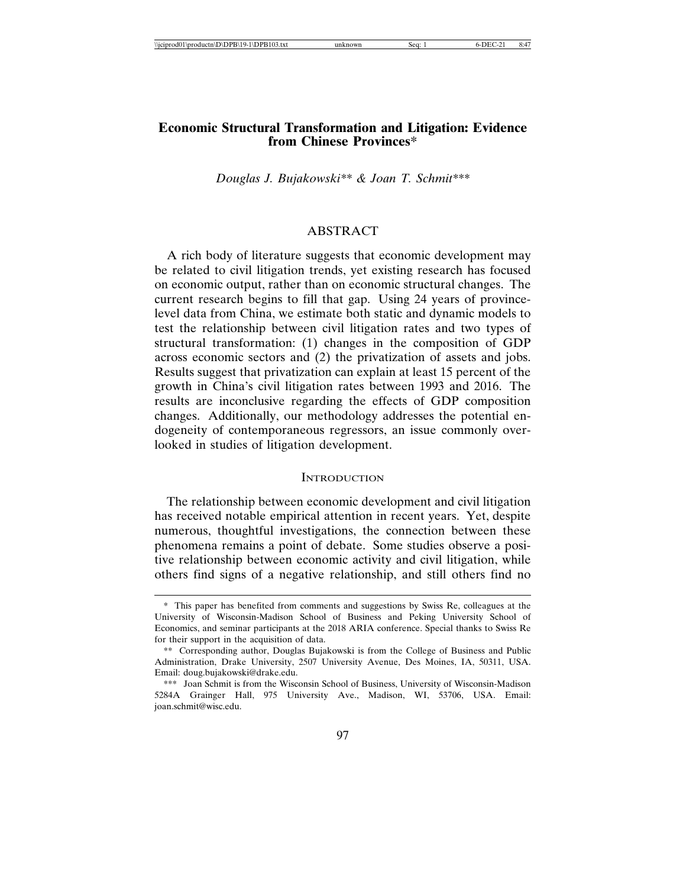## **Economic Structural Transformation and Litigation: Evidence from Chinese Provinces\***

*Douglas J. Bujakowski\*\* & Joan T. Schmit\*\*\**

## ABSTRACT

A rich body of literature suggests that economic development may be related to civil litigation trends, yet existing research has focused on economic output, rather than on economic structural changes. The current research begins to fill that gap. Using 24 years of provincelevel data from China, we estimate both static and dynamic models to test the relationship between civil litigation rates and two types of structural transformation: (1) changes in the composition of GDP across economic sectors and (2) the privatization of assets and jobs. Results suggest that privatization can explain at least 15 percent of the growth in China's civil litigation rates between 1993 and 2016. The results are inconclusive regarding the effects of GDP composition changes. Additionally, our methodology addresses the potential endogeneity of contemporaneous regressors, an issue commonly overlooked in studies of litigation development.

#### **INTRODUCTION**

The relationship between economic development and civil litigation has received notable empirical attention in recent years. Yet, despite numerous, thoughtful investigations, the connection between these phenomena remains a point of debate. Some studies observe a positive relationship between economic activity and civil litigation, while others find signs of a negative relationship, and still others find no

<sup>\*</sup> This paper has benefited from comments and suggestions by Swiss Re, colleagues at the University of Wisconsin-Madison School of Business and Peking University School of Economics, and seminar participants at the 2018 ARIA conference. Special thanks to Swiss Re for their support in the acquisition of data.

<sup>\*\*</sup> Corresponding author, Douglas Bujakowski is from the College of Business and Public Administration, Drake University, 2507 University Avenue, Des Moines, IA, 50311, USA. Email: doug.bujakowski@drake.edu.

<sup>\*\*\*</sup> Joan Schmit is from the Wisconsin School of Business, University of Wisconsin-Madison 5284A Grainger Hall, 975 University Ave., Madison, WI, 53706, USA. Email: joan.schmit@wisc.edu.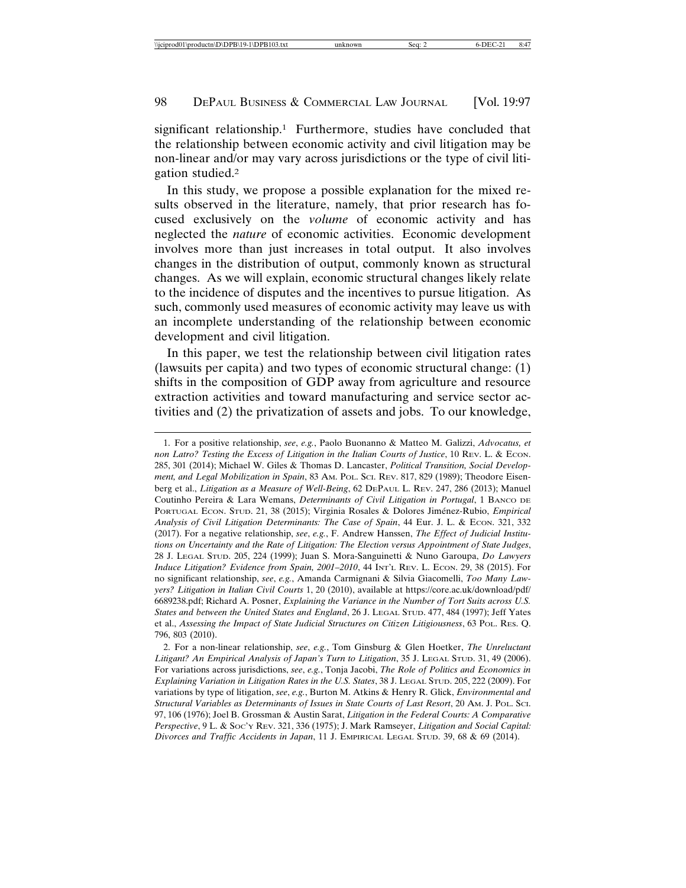significant relationship.<sup>1</sup> Furthermore, studies have concluded that the relationship between economic activity and civil litigation may be non-linear and/or may vary across jurisdictions or the type of civil litigation studied.2

In this study, we propose a possible explanation for the mixed results observed in the literature, namely, that prior research has focused exclusively on the *volume* of economic activity and has neglected the *nature* of economic activities. Economic development involves more than just increases in total output. It also involves changes in the distribution of output, commonly known as structural changes. As we will explain, economic structural changes likely relate to the incidence of disputes and the incentives to pursue litigation. As such, commonly used measures of economic activity may leave us with an incomplete understanding of the relationship between economic development and civil litigation.

In this paper, we test the relationship between civil litigation rates (lawsuits per capita) and two types of economic structural change: (1) shifts in the composition of GDP away from agriculture and resource extraction activities and toward manufacturing and service sector activities and (2) the privatization of assets and jobs. To our knowledge,

<sup>1.</sup> For a positive relationship, *see*, *e.g.*, Paolo Buonanno & Matteo M. Galizzi, *Advocatus, et non Latro? Testing the Excess of Litigation in the Italian Courts of Justice*, 10 REV. L. & ECON. 285, 301 (2014); Michael W. Giles & Thomas D. Lancaster, *Political Transition, Social Development, and Legal Mobilization in Spain*, 83 AM. POL. SCI. REV. 817, 829 (1989); Theodore Eisenberg et al., *Litigation as a Measure of Well-Being*, 62 DEPAUL L. REV. 247, 286 (2013); Manuel Coutinho Pereira & Lara Wemans, *Determinants of Civil Litigation in Portugal*, 1 BANCO DE PORTUGAL ECON. STUD. 21, 38 (2015); Virginia Rosales & Dolores Jiménez-Rubio, *Empirical Analysis of Civil Litigation Determinants: The Case of Spain*, 44 Eur. J. L. & ECON. 321, 332 (2017). For a negative relationship, *see*, *e.g.*, F. Andrew Hanssen, *The Effect of Judicial Institutions on Uncertainty and the Rate of Litigation: The Election versus Appointment of State Judges*, 28 J. LEGAL STUD. 205, 224 (1999); Juan S. Mora-Sanguinetti & Nuno Garoupa, *Do Lawyers Induce Litigation? Evidence from Spain, 2001–2010, 44 INT'L REV. L. ECON. 29, 38 (2015). For* no significant relationship, *see*, *e.g.*, Amanda Carmignani & Silvia Giacomelli, *Too Many Lawyers? Litigation in Italian Civil Courts* 1, 20 (2010), available at https://core.ac.uk/download/pdf/ 6689238.pdf; Richard A. Posner, *Explaining the Variance in the Number of Tort Suits across U.S. States and between the United States and England*, 26 J. LEGAL STUD. 477, 484 (1997); Jeff Yates et al., *Assessing the Impact of State Judicial Structures on Citizen Litigiousness*, 63 POL. RES. Q. 796, 803 (2010).

<sup>2.</sup> For a non-linear relationship, *see*, *e.g.*, Tom Ginsburg & Glen Hoetker, *The Unreluctant Litigant? An Empirical Analysis of Japan's Turn to Litigation*, 35 J. LEGAL STUD. 31, 49 (2006). For variations across jurisdictions, *see*, *e.g.*, Tonja Jacobi, *The Role of Politics and Economics in Explaining Variation in Litigation Rates in the U.S. States*, 38 J. LEGAL STUD. 205, 222 (2009). For variations by type of litigation, *see*, *e.g.*, Burton M. Atkins & Henry R. Glick, *Environmental and Structural Variables as Determinants of Issues in State Courts of Last Resort*, 20 AM. J. POL. SCI. 97, 106 (1976); Joel B. Grossman & Austin Sarat, *Litigation in the Federal Courts: A Comparative Perspective*, 9 L. & SOC'Y REV. 321, 336 (1975); J. Mark Ramseyer, *Litigation and Social Capital: Divorces and Traffic Accidents in Japan*, 11 J. EMPIRICAL LEGAL STUD. 39, 68 & 69 (2014).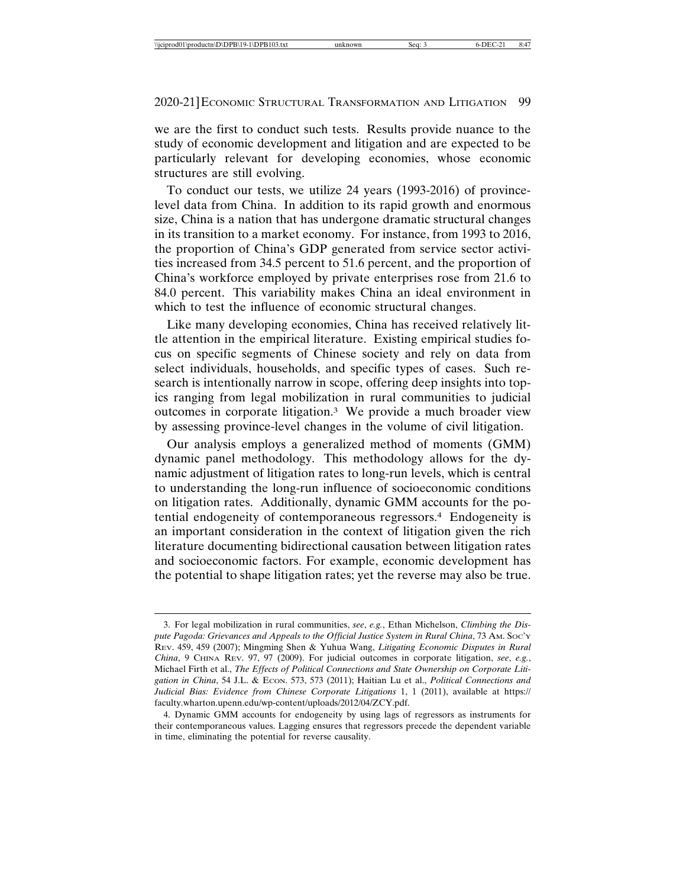we are the first to conduct such tests. Results provide nuance to the study of economic development and litigation and are expected to be particularly relevant for developing economies, whose economic structures are still evolving.

To conduct our tests, we utilize 24 years (1993-2016) of provincelevel data from China. In addition to its rapid growth and enormous size, China is a nation that has undergone dramatic structural changes in its transition to a market economy. For instance, from 1993 to 2016, the proportion of China's GDP generated from service sector activities increased from 34.5 percent to 51.6 percent, and the proportion of China's workforce employed by private enterprises rose from 21.6 to 84.0 percent. This variability makes China an ideal environment in which to test the influence of economic structural changes.

Like many developing economies, China has received relatively little attention in the empirical literature. Existing empirical studies focus on specific segments of Chinese society and rely on data from select individuals, households, and specific types of cases. Such research is intentionally narrow in scope, offering deep insights into topics ranging from legal mobilization in rural communities to judicial outcomes in corporate litigation.3 We provide a much broader view by assessing province-level changes in the volume of civil litigation.

Our analysis employs a generalized method of moments (GMM) dynamic panel methodology. This methodology allows for the dynamic adjustment of litigation rates to long-run levels, which is central to understanding the long-run influence of socioeconomic conditions on litigation rates. Additionally, dynamic GMM accounts for the potential endogeneity of contemporaneous regressors.4 Endogeneity is an important consideration in the context of litigation given the rich literature documenting bidirectional causation between litigation rates and socioeconomic factors. For example, economic development has the potential to shape litigation rates; yet the reverse may also be true.

<sup>3.</sup> For legal mobilization in rural communities, *see*, *e.g.*, Ethan Michelson, *Climbing the Dispute Pagoda: Grievances and Appeals to the Official Justice System in Rural China*, 73 AM. SOC'Y REV. 459, 459 (2007); Mingming Shen & Yuhua Wang, *Litigating Economic Disputes in Rural China*, 9 CHINA REV. 97, 97 (2009). For judicial outcomes in corporate litigation, *see*, *e.g.*, Michael Firth et al., *The Effects of Political Connections and State Ownership on Corporate Litigation in China*, 54 J.L. & ECON. 573, 573 (2011); Haitian Lu et al., *Political Connections and Judicial Bias: Evidence from Chinese Corporate Litigations* 1, 1 (2011), available at https:// faculty.wharton.upenn.edu/wp-content/uploads/2012/04/ZCY.pdf.

<sup>4.</sup> Dynamic GMM accounts for endogeneity by using lags of regressors as instruments for their contemporaneous values. Lagging ensures that regressors precede the dependent variable in time, eliminating the potential for reverse causality.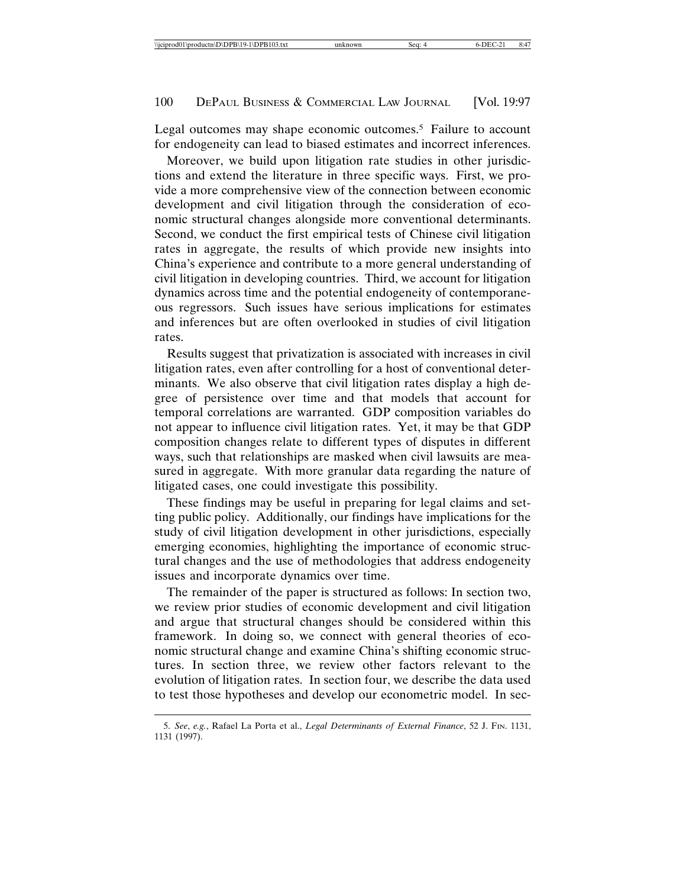Legal outcomes may shape economic outcomes.<sup>5</sup> Failure to account for endogeneity can lead to biased estimates and incorrect inferences.

Moreover, we build upon litigation rate studies in other jurisdictions and extend the literature in three specific ways. First, we provide a more comprehensive view of the connection between economic development and civil litigation through the consideration of economic structural changes alongside more conventional determinants. Second, we conduct the first empirical tests of Chinese civil litigation rates in aggregate, the results of which provide new insights into China's experience and contribute to a more general understanding of civil litigation in developing countries. Third, we account for litigation dynamics across time and the potential endogeneity of contemporaneous regressors. Such issues have serious implications for estimates and inferences but are often overlooked in studies of civil litigation rates.

Results suggest that privatization is associated with increases in civil litigation rates, even after controlling for a host of conventional determinants. We also observe that civil litigation rates display a high degree of persistence over time and that models that account for temporal correlations are warranted. GDP composition variables do not appear to influence civil litigation rates. Yet, it may be that GDP composition changes relate to different types of disputes in different ways, such that relationships are masked when civil lawsuits are measured in aggregate. With more granular data regarding the nature of litigated cases, one could investigate this possibility.

These findings may be useful in preparing for legal claims and setting public policy. Additionally, our findings have implications for the study of civil litigation development in other jurisdictions, especially emerging economies, highlighting the importance of economic structural changes and the use of methodologies that address endogeneity issues and incorporate dynamics over time.

The remainder of the paper is structured as follows: In section two, we review prior studies of economic development and civil litigation and argue that structural changes should be considered within this framework. In doing so, we connect with general theories of economic structural change and examine China's shifting economic structures. In section three, we review other factors relevant to the evolution of litigation rates. In section four, we describe the data used to test those hypotheses and develop our econometric model. In sec-

<sup>5.</sup> *See*, *e.g.*, Rafael La Porta et al., *Legal Determinants of External Finance*, 52 J. FIN. 1131, 1131 (1997).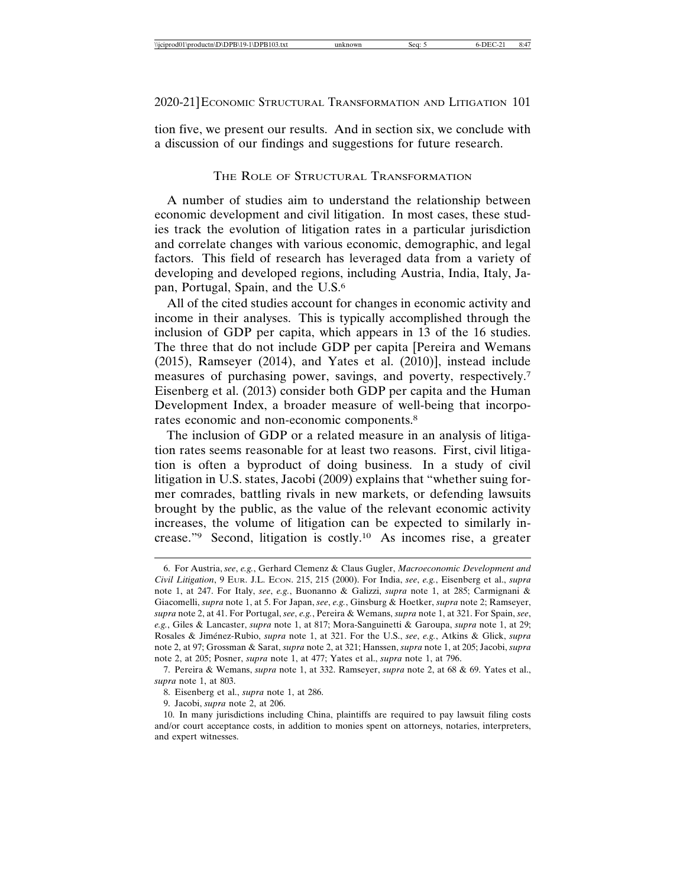tion five, we present our results. And in section six, we conclude with a discussion of our findings and suggestions for future research.

## THE ROLE OF STRUCTURAL TRANSFORMATION

A number of studies aim to understand the relationship between economic development and civil litigation. In most cases, these studies track the evolution of litigation rates in a particular jurisdiction and correlate changes with various economic, demographic, and legal factors. This field of research has leveraged data from a variety of developing and developed regions, including Austria, India, Italy, Japan, Portugal, Spain, and the U.S.6

All of the cited studies account for changes in economic activity and income in their analyses. This is typically accomplished through the inclusion of GDP per capita, which appears in 13 of the 16 studies. The three that do not include GDP per capita [Pereira and Wemans (2015), Ramseyer (2014), and Yates et al. (2010)], instead include measures of purchasing power, savings, and poverty, respectively.7 Eisenberg et al. (2013) consider both GDP per capita and the Human Development Index, a broader measure of well-being that incorporates economic and non-economic components.8

The inclusion of GDP or a related measure in an analysis of litigation rates seems reasonable for at least two reasons. First, civil litigation is often a byproduct of doing business. In a study of civil litigation in U.S. states, Jacobi (2009) explains that "whether suing former comrades, battling rivals in new markets, or defending lawsuits brought by the public, as the value of the relevant economic activity increases, the volume of litigation can be expected to similarly increase."9 Second, litigation is costly.10 As incomes rise, a greater

<sup>6.</sup> For Austria, *see*, *e.g.*, Gerhard Clemenz & Claus Gugler, *Macroeconomic Development and Civil Litigation*, 9 EUR. J.L. ECON. 215, 215 (2000). For India, *see*, *e.g.*, Eisenberg et al., *supra* note 1, at 247. For Italy, *see*, *e.g.*, Buonanno & Galizzi, *supra* note 1, at 285; Carmignani & Giacomelli, *supra* note 1, at 5. For Japan, *see*, *e.g.*, Ginsburg & Hoetker, *supra* note 2; Ramseyer, *supra* note 2, at 41. For Portugal, *see*, *e.g.*, Pereira & Wemans, *supra* note 1, at 321. For Spain, *see*, *e.g.*, Giles & Lancaster, *supra* note 1, at 817; Mora-Sanguinetti & Garoupa, *supra* note 1, at 29; Rosales & Jim ´enez-Rubio, *supra* note 1, at 321. For the U.S., *see*, *e.g.*, Atkins & Glick, *supra* note 2, at 97; Grossman & Sarat, *supra* note 2, at 321; Hanssen, *supra* note 1, at 205; Jacobi, *supra* note 2, at 205; Posner, *supra* note 1, at 477; Yates et al., *supra* note 1, at 796.

<sup>7.</sup> Pereira & Wemans, *supra* note 1, at 332. Ramseyer, *supra* note 2, at 68 & 69. Yates et al., *supra* note 1, at 803.

<sup>8.</sup> Eisenberg et al., *supra* note 1, at 286.

<sup>9.</sup> Jacobi, *supra* note 2, at 206.

<sup>10.</sup> In many jurisdictions including China, plaintiffs are required to pay lawsuit filing costs and/or court acceptance costs, in addition to monies spent on attorneys, notaries, interpreters, and expert witnesses.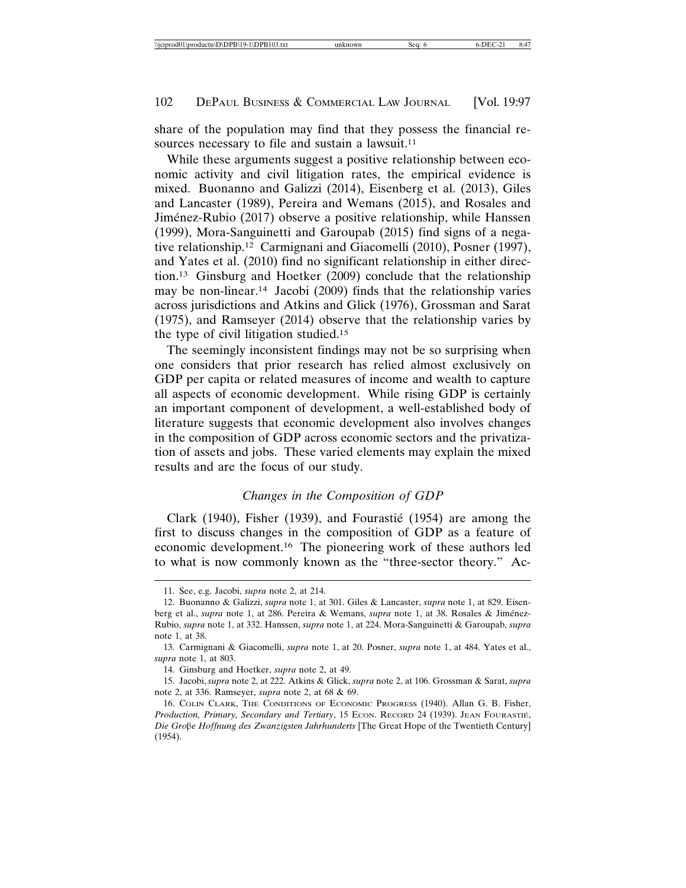share of the population may find that they possess the financial resources necessary to file and sustain a lawsuit.<sup>11</sup>

While these arguments suggest a positive relationship between economic activity and civil litigation rates, the empirical evidence is mixed. Buonanno and Galizzi (2014), Eisenberg et al. (2013), Giles and Lancaster (1989), Pereira and Wemans (2015), and Rosales and Jiménez-Rubio (2017) observe a positive relationship, while Hanssen (1999), Mora-Sanguinetti and Garoupab (2015) find signs of a negative relationship.12 Carmignani and Giacomelli (2010), Posner (1997), and Yates et al. (2010) find no significant relationship in either direction.13 Ginsburg and Hoetker (2009) conclude that the relationship may be non-linear.14 Jacobi (2009) finds that the relationship varies across jurisdictions and Atkins and Glick (1976), Grossman and Sarat (1975), and Ramseyer (2014) observe that the relationship varies by the type of civil litigation studied.15

The seemingly inconsistent findings may not be so surprising when one considers that prior research has relied almost exclusively on GDP per capita or related measures of income and wealth to capture all aspects of economic development. While rising GDP is certainly an important component of development, a well-established body of literature suggests that economic development also involves changes in the composition of GDP across economic sectors and the privatization of assets and jobs. These varied elements may explain the mixed results and are the focus of our study.

## *Changes in the Composition of GDP*

Clark  $(1940)$ , Fisher  $(1939)$ , and Fourastié  $(1954)$  are among the first to discuss changes in the composition of GDP as a feature of economic development.16 The pioneering work of these authors led to what is now commonly known as the "three-sector theory." Ac-

<sup>11.</sup> See, e.g. Jacobi, *supra* note 2, at 214.

<sup>12.</sup> Buonanno & Galizzi, *supra* note 1, at 301. Giles & Lancaster, *supra* note 1, at 829. Eisenberg et al., *supra* note 1, at 286. Pereira & Wemans, *supra* note 1, at 38. Rosales & Jiménez-Rubio, *supra* note 1, at 332. Hanssen, *supra* note 1, at 224. Mora-Sanguinetti & Garoupab, *supra* note 1, at 38.

<sup>13.</sup> Carmignani & Giacomelli, *supra* note 1, at 20. Posner, *supra* note 1, at 484. Yates et al., *supra* note 1, at 803.

<sup>14.</sup> Ginsburg and Hoetker, *supra* note 2, at 49.

<sup>15.</sup> Jacobi, *supra* note 2, at 222. Atkins & Glick, *supra* note 2, at 106. Grossman & Sarat, *supra* note 2, at 336. Ramseyer, *supra* note 2, at 68 & 69.

<sup>16.</sup> COLIN CLARK, THE CONDITIONS OF ECONOMIC PROGRESS (1940). Allan G. B. Fisher, Production, Primary, Secondary and Tertiary, 15 ECON. RECORD 24 (1939). JEAN FOURASTIÉ, *Die Gro*b*e Hoffnung des Zwanzigsten Jahrhunderts* [The Great Hope of the Twentieth Century] (1954).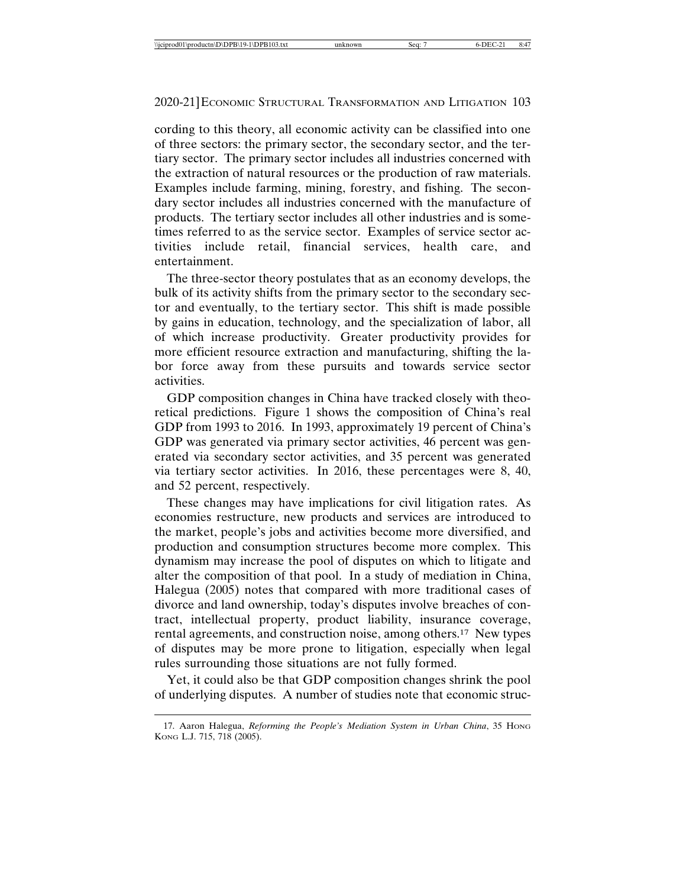cording to this theory, all economic activity can be classified into one of three sectors: the primary sector, the secondary sector, and the tertiary sector. The primary sector includes all industries concerned with the extraction of natural resources or the production of raw materials. Examples include farming, mining, forestry, and fishing. The secondary sector includes all industries concerned with the manufacture of products. The tertiary sector includes all other industries and is sometimes referred to as the service sector. Examples of service sector activities include retail, financial services, health care, and entertainment.

The three-sector theory postulates that as an economy develops, the bulk of its activity shifts from the primary sector to the secondary sector and eventually, to the tertiary sector. This shift is made possible by gains in education, technology, and the specialization of labor, all of which increase productivity. Greater productivity provides for more efficient resource extraction and manufacturing, shifting the labor force away from these pursuits and towards service sector activities.

GDP composition changes in China have tracked closely with theoretical predictions. Figure 1 shows the composition of China's real GDP from 1993 to 2016. In 1993, approximately 19 percent of China's GDP was generated via primary sector activities, 46 percent was generated via secondary sector activities, and 35 percent was generated via tertiary sector activities. In 2016, these percentages were 8, 40, and 52 percent, respectively.

These changes may have implications for civil litigation rates. As economies restructure, new products and services are introduced to the market, people's jobs and activities become more diversified, and production and consumption structures become more complex. This dynamism may increase the pool of disputes on which to litigate and alter the composition of that pool. In a study of mediation in China, Halegua (2005) notes that compared with more traditional cases of divorce and land ownership, today's disputes involve breaches of contract, intellectual property, product liability, insurance coverage, rental agreements, and construction noise, among others.17 New types of disputes may be more prone to litigation, especially when legal rules surrounding those situations are not fully formed.

Yet, it could also be that GDP composition changes shrink the pool of underlying disputes. A number of studies note that economic struc-

<sup>17.</sup> Aaron Halegua, *Reforming the People's Mediation System in Urban China*, 35 HONG KONG L.J. 715, 718 (2005).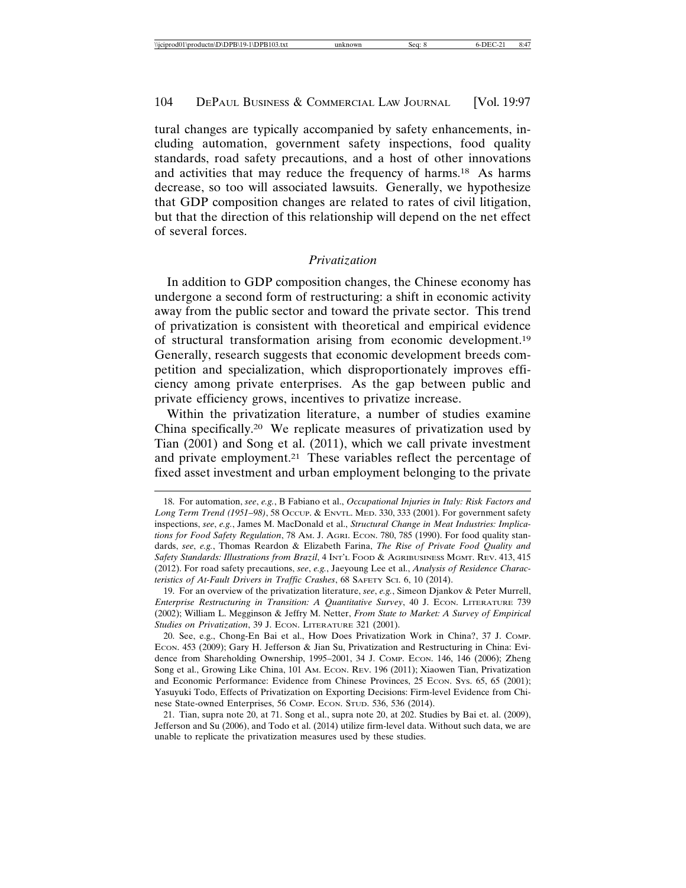tural changes are typically accompanied by safety enhancements, including automation, government safety inspections, food quality standards, road safety precautions, and a host of other innovations and activities that may reduce the frequency of harms.18 As harms decrease, so too will associated lawsuits. Generally, we hypothesize that GDP composition changes are related to rates of civil litigation, but that the direction of this relationship will depend on the net effect of several forces.

#### *Privatization*

In addition to GDP composition changes, the Chinese economy has undergone a second form of restructuring: a shift in economic activity away from the public sector and toward the private sector. This trend of privatization is consistent with theoretical and empirical evidence of structural transformation arising from economic development.19 Generally, research suggests that economic development breeds competition and specialization, which disproportionately improves efficiency among private enterprises. As the gap between public and private efficiency grows, incentives to privatize increase.

Within the privatization literature, a number of studies examine China specifically.20 We replicate measures of privatization used by Tian (2001) and Song et al. (2011), which we call private investment and private employment.21 These variables reflect the percentage of fixed asset investment and urban employment belonging to the private

<sup>18.</sup> For automation, *see*, *e.g.*, B Fabiano et al., *Occupational Injuries in Italy: Risk Factors and Long Term Trend (1951–98)*, 58 OCCUP. & ENVTL. MED. 330, 333 (2001). For government safety inspections, *see*, *e.g.*, James M. MacDonald et al., *Structural Change in Meat Industries: Implications for Food Safety Regulation*, 78 AM. J. AGRI. ECON. 780, 785 (1990). For food quality standards, *see*, *e.g.*, Thomas Reardon & Elizabeth Farina, *The Rise of Private Food Quality and Safety Standards: Illustrations from Brazil*, 4 INT'L FOOD & AGRIBUSINESS MGMT. REV. 413, 415 (2012). For road safety precautions, *see*, *e.g.*, Jaeyoung Lee et al., *Analysis of Residence Characteristics of At-Fault Drivers in Traffic Crashes*, 68 SAFETY SCI. 6, 10 (2014).

<sup>19.</sup> For an overview of the privatization literature, *see*, *e.g.*, Simeon Djankov & Peter Murrell, *Enterprise Restructuring in Transition: A Quantitative Survey*, 40 J. ECON. LITERATURE 739 (2002); William L. Megginson & Jeffry M. Netter, *From State to Market: A Survey of Empirical Studies on Privatization*, 39 J. ECON. LITERATURE 321 (2001).

<sup>20.</sup> See, e.g., Chong-En Bai et al., How Does Privatization Work in China?, 37 J. Comp. ECON. 453 (2009); Gary H. Jefferson & Jian Su, Privatization and Restructuring in China: Evidence from Shareholding Ownership, 1995–2001, 34 J. COMP. ECON. 146, 146 (2006); Zheng Song et al., Growing Like China, 101 AM. ECON. REV. 196 (2011); Xiaowen Tian, Privatization and Economic Performance: Evidence from Chinese Provinces, 25 Econ. Sys. 65, 65 (2001); Yasuyuki Todo, Effects of Privatization on Exporting Decisions: Firm-level Evidence from Chinese State-owned Enterprises, 56 COMP. ECON. STUD. 536, 536 (2014).

<sup>21.</sup> Tian, supra note 20, at 71. Song et al., supra note 20, at 202. Studies by Bai et. al. (2009), Jefferson and Su (2006), and Todo et al. (2014) utilize firm-level data. Without such data, we are unable to replicate the privatization measures used by these studies.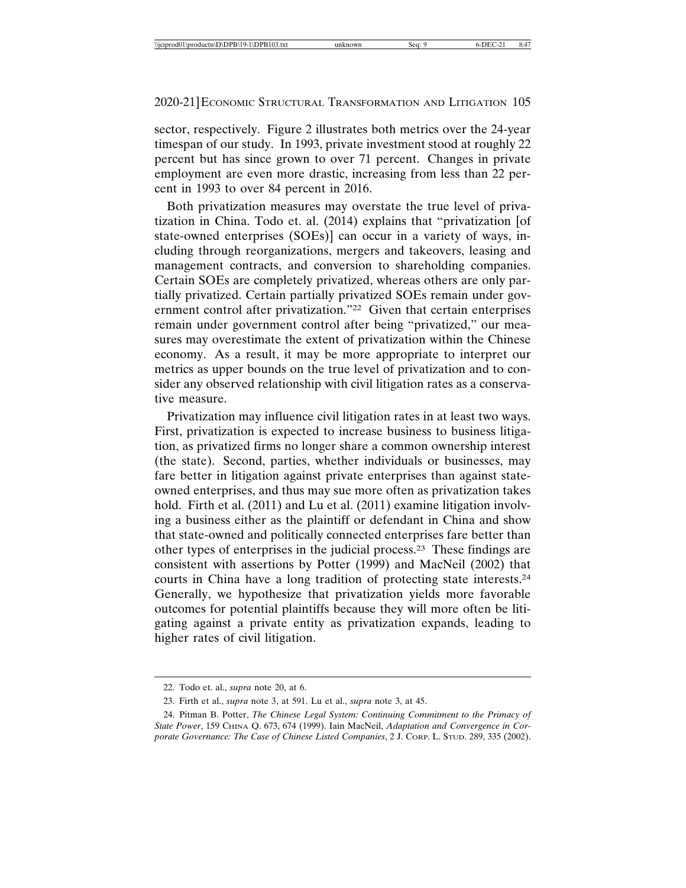sector, respectively. Figure 2 illustrates both metrics over the 24-year timespan of our study. In 1993, private investment stood at roughly 22 percent but has since grown to over 71 percent. Changes in private employment are even more drastic, increasing from less than 22 percent in 1993 to over 84 percent in 2016.

Both privatization measures may overstate the true level of privatization in China. Todo et. al. (2014) explains that "privatization [of state-owned enterprises (SOEs)] can occur in a variety of ways, including through reorganizations, mergers and takeovers, leasing and management contracts, and conversion to shareholding companies. Certain SOEs are completely privatized, whereas others are only partially privatized. Certain partially privatized SOEs remain under government control after privatization."22 Given that certain enterprises remain under government control after being "privatized," our measures may overestimate the extent of privatization within the Chinese economy. As a result, it may be more appropriate to interpret our metrics as upper bounds on the true level of privatization and to consider any observed relationship with civil litigation rates as a conservative measure.

Privatization may influence civil litigation rates in at least two ways. First, privatization is expected to increase business to business litigation, as privatized firms no longer share a common ownership interest (the state). Second, parties, whether individuals or businesses, may fare better in litigation against private enterprises than against stateowned enterprises, and thus may sue more often as privatization takes hold. Firth et al. (2011) and Lu et al. (2011) examine litigation involving a business either as the plaintiff or defendant in China and show that state-owned and politically connected enterprises fare better than other types of enterprises in the judicial process.23 These findings are consistent with assertions by Potter (1999) and MacNeil (2002) that courts in China have a long tradition of protecting state interests.24 Generally, we hypothesize that privatization yields more favorable outcomes for potential plaintiffs because they will more often be litigating against a private entity as privatization expands, leading to higher rates of civil litigation.

<sup>22.</sup> Todo et. al., *supra* note 20, at 6.

<sup>23.</sup> Firth et al., *supra* note 3, at 591. Lu et al., *supra* note 3, at 45.

<sup>24.</sup> Pitman B. Potter, *The Chinese Legal System: Continuing Commitment to the Primacy of State Power*, 159 CHINA Q. 673, 674 (1999). Iain MacNeil, *Adaptation and Convergence in Corporate Governance: The Case of Chinese Listed Companies*, 2 J. CORP. L. STUD. 289, 335 (2002).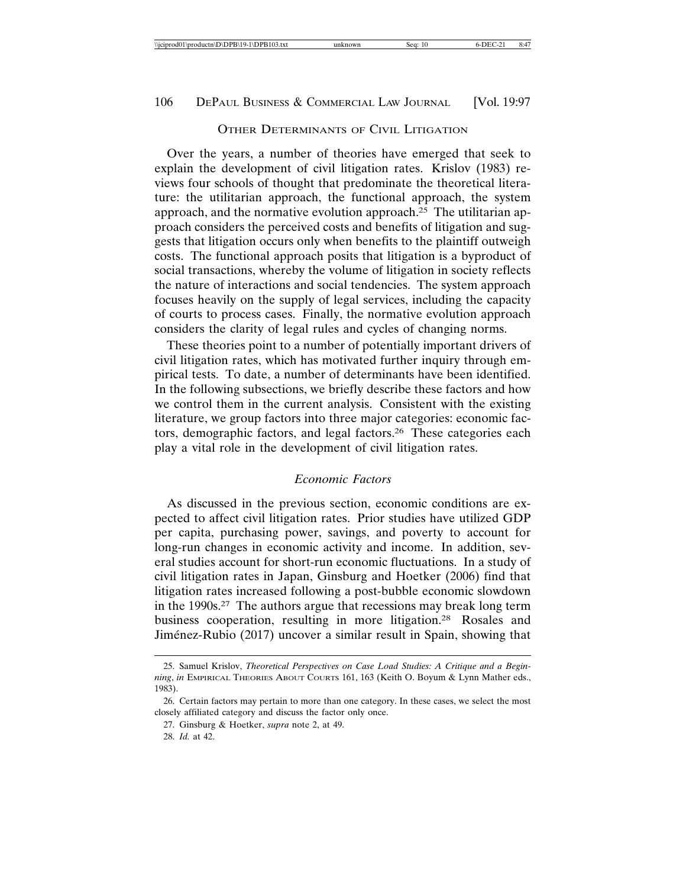#### OTHER DETERMINANTS OF CIVIL LITIGATION

Over the years, a number of theories have emerged that seek to explain the development of civil litigation rates. Krislov (1983) reviews four schools of thought that predominate the theoretical literature: the utilitarian approach, the functional approach, the system approach, and the normative evolution approach.25 The utilitarian approach considers the perceived costs and benefits of litigation and suggests that litigation occurs only when benefits to the plaintiff outweigh costs. The functional approach posits that litigation is a byproduct of social transactions, whereby the volume of litigation in society reflects the nature of interactions and social tendencies. The system approach focuses heavily on the supply of legal services, including the capacity of courts to process cases. Finally, the normative evolution approach considers the clarity of legal rules and cycles of changing norms.

These theories point to a number of potentially important drivers of civil litigation rates, which has motivated further inquiry through empirical tests. To date, a number of determinants have been identified. In the following subsections, we briefly describe these factors and how we control them in the current analysis. Consistent with the existing literature, we group factors into three major categories: economic factors, demographic factors, and legal factors.26 These categories each play a vital role in the development of civil litigation rates.

#### *Economic Factors*

As discussed in the previous section, economic conditions are expected to affect civil litigation rates. Prior studies have utilized GDP per capita, purchasing power, savings, and poverty to account for long-run changes in economic activity and income. In addition, several studies account for short-run economic fluctuations. In a study of civil litigation rates in Japan, Ginsburg and Hoetker (2006) find that litigation rates increased following a post-bubble economic slowdown in the 1990s.27 The authors argue that recessions may break long term business cooperation, resulting in more litigation.28 Rosales and Jiménez-Rubio (2017) uncover a similar result in Spain, showing that

<sup>25.</sup> Samuel Krislov, *Theoretical Perspectives on Case Load Studies: A Critique and a Beginning*, *in* EMPIRICAL THEORIES ABOUT COURTS 161, 163 (Keith O. Boyum & Lynn Mather eds., 1983).

<sup>26.</sup> Certain factors may pertain to more than one category. In these cases, we select the most closely affiliated category and discuss the factor only once.

<sup>27.</sup> Ginsburg & Hoetker, *supra* note 2, at 49.

<sup>28.</sup> *Id.* at 42.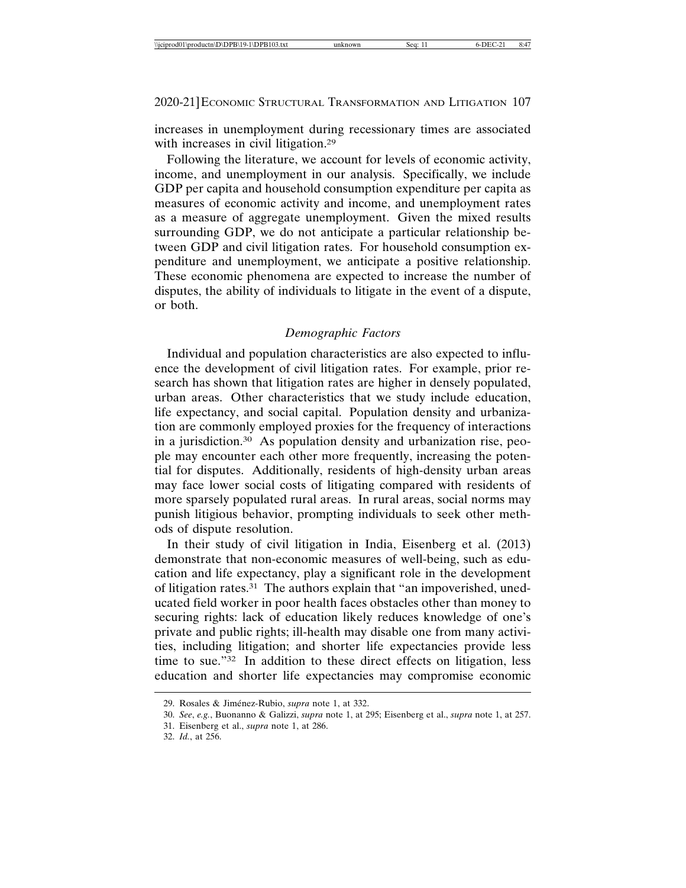increases in unemployment during recessionary times are associated with increases in civil litigation.<sup>29</sup>

Following the literature, we account for levels of economic activity, income, and unemployment in our analysis. Specifically, we include GDP per capita and household consumption expenditure per capita as measures of economic activity and income, and unemployment rates as a measure of aggregate unemployment. Given the mixed results surrounding GDP, we do not anticipate a particular relationship between GDP and civil litigation rates. For household consumption expenditure and unemployment, we anticipate a positive relationship. These economic phenomena are expected to increase the number of disputes, the ability of individuals to litigate in the event of a dispute, or both.

## *Demographic Factors*

Individual and population characteristics are also expected to influence the development of civil litigation rates. For example, prior research has shown that litigation rates are higher in densely populated, urban areas. Other characteristics that we study include education, life expectancy, and social capital. Population density and urbanization are commonly employed proxies for the frequency of interactions in a jurisdiction.30 As population density and urbanization rise, people may encounter each other more frequently, increasing the potential for disputes. Additionally, residents of high-density urban areas may face lower social costs of litigating compared with residents of more sparsely populated rural areas. In rural areas, social norms may punish litigious behavior, prompting individuals to seek other methods of dispute resolution.

In their study of civil litigation in India, Eisenberg et al. (2013) demonstrate that non-economic measures of well-being, such as education and life expectancy, play a significant role in the development of litigation rates.31 The authors explain that "an impoverished, uneducated field worker in poor health faces obstacles other than money to securing rights: lack of education likely reduces knowledge of one's private and public rights; ill-health may disable one from many activities, including litigation; and shorter life expectancies provide less time to sue."<sup>32</sup> In addition to these direct effects on litigation, less education and shorter life expectancies may compromise economic

<sup>29.</sup> Rosales & Jiménez-Rubio, *supra* note 1, at 332.

<sup>30.</sup> *See*, *e.g.*, Buonanno & Galizzi, *supra* note 1, at 295; Eisenberg et al., *supra* note 1, at 257.

<sup>31.</sup> Eisenberg et al., *supra* note 1, at 286.

<sup>32.</sup> *Id.*, at 256.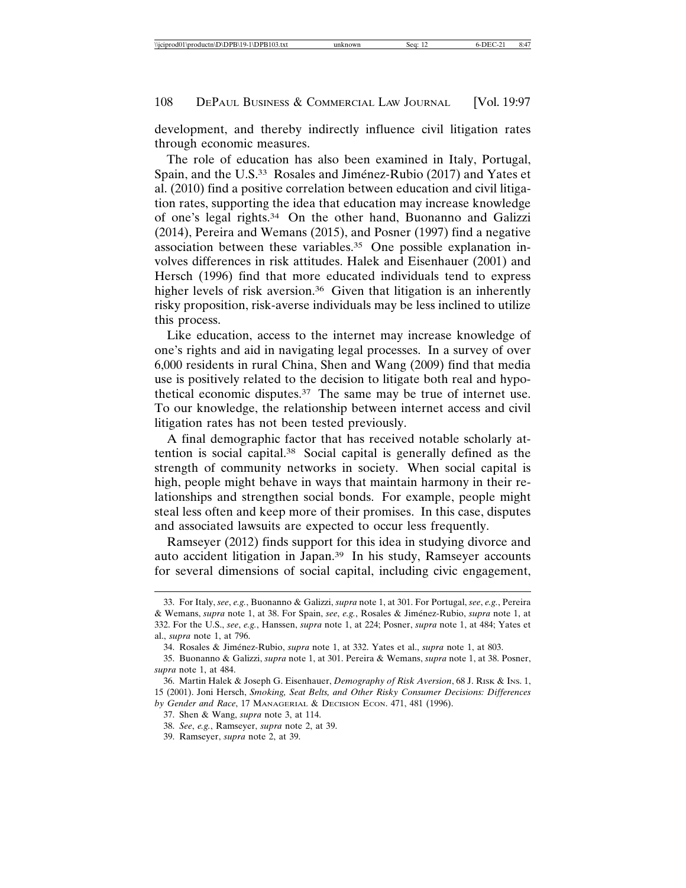development, and thereby indirectly influence civil litigation rates through economic measures.

The role of education has also been examined in Italy, Portugal, Spain, and the U.S.<sup>33</sup> Rosales and Jiménez-Rubio (2017) and Yates et al. (2010) find a positive correlation between education and civil litigation rates, supporting the idea that education may increase knowledge of one's legal rights.34 On the other hand, Buonanno and Galizzi (2014), Pereira and Wemans (2015), and Posner (1997) find a negative association between these variables.35 One possible explanation involves differences in risk attitudes. Halek and Eisenhauer (2001) and Hersch (1996) find that more educated individuals tend to express higher levels of risk aversion.<sup>36</sup> Given that litigation is an inherently risky proposition, risk-averse individuals may be less inclined to utilize this process.

Like education, access to the internet may increase knowledge of one's rights and aid in navigating legal processes. In a survey of over 6,000 residents in rural China, Shen and Wang (2009) find that media use is positively related to the decision to litigate both real and hypothetical economic disputes.37 The same may be true of internet use. To our knowledge, the relationship between internet access and civil litigation rates has not been tested previously.

A final demographic factor that has received notable scholarly attention is social capital.38 Social capital is generally defined as the strength of community networks in society. When social capital is high, people might behave in ways that maintain harmony in their relationships and strengthen social bonds. For example, people might steal less often and keep more of their promises. In this case, disputes and associated lawsuits are expected to occur less frequently.

Ramseyer (2012) finds support for this idea in studying divorce and auto accident litigation in Japan.39 In his study, Ramseyer accounts for several dimensions of social capital, including civic engagement,

<sup>33.</sup> For Italy, *see*, *e.g.*, Buonanno & Galizzi, *supra* note 1, at 301. For Portugal, *see*, *e.g.*, Pereira & Wemans, *supra* note 1, at 38. For Spain, *see*, *e.g.*, Rosales & Jim ´enez-Rubio, *supra* note 1, at 332. For the U.S., *see*, *e.g.*, Hanssen, *supra* note 1, at 224; Posner, *supra* note 1, at 484; Yates et al., *supra* note 1, at 796.

<sup>34.</sup> Rosales & Jim ´enez-Rubio, *supra* note 1, at 332. Yates et al., *supra* note 1, at 803.

<sup>35.</sup> Buonanno & Galizzi, *supra* note 1, at 301. Pereira & Wemans, *supra* note 1, at 38. Posner, *supra* note 1, at 484.

<sup>36.</sup> Martin Halek & Joseph G. Eisenhauer, *Demography of Risk Aversion*, 68 J. RISK & INS. 1, 15 (2001). Joni Hersch, *Smoking, Seat Belts, and Other Risky Consumer Decisions: Differences by Gender and Race*, 17 MANAGERIAL & DECISION ECON. 471, 481 (1996).

<sup>37.</sup> Shen & Wang, *supra* note 3, at 114.

<sup>38.</sup> *See*, *e.g.*, Ramseyer, *supra* note 2, at 39.

<sup>39.</sup> Ramseyer, *supra* note 2, at 39.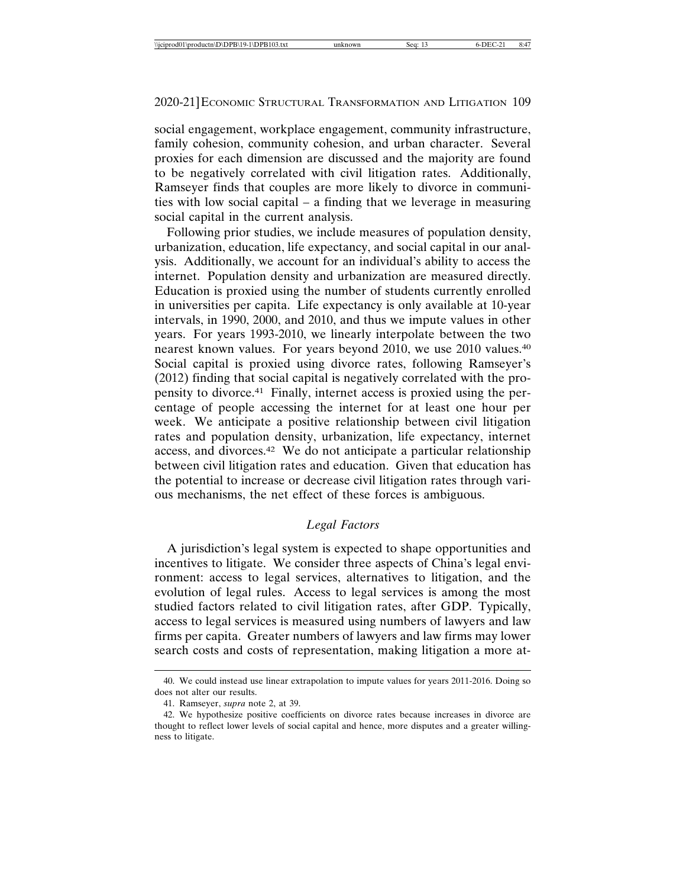social engagement, workplace engagement, community infrastructure, family cohesion, community cohesion, and urban character. Several proxies for each dimension are discussed and the majority are found to be negatively correlated with civil litigation rates. Additionally, Ramseyer finds that couples are more likely to divorce in communities with low social capital – a finding that we leverage in measuring social capital in the current analysis.

Following prior studies, we include measures of population density, urbanization, education, life expectancy, and social capital in our analysis. Additionally, we account for an individual's ability to access the internet. Population density and urbanization are measured directly. Education is proxied using the number of students currently enrolled in universities per capita. Life expectancy is only available at 10-year intervals, in 1990, 2000, and 2010, and thus we impute values in other years. For years 1993-2010, we linearly interpolate between the two nearest known values. For years beyond 2010, we use 2010 values.40 Social capital is proxied using divorce rates, following Ramseyer's (2012) finding that social capital is negatively correlated with the propensity to divorce.41 Finally, internet access is proxied using the percentage of people accessing the internet for at least one hour per week. We anticipate a positive relationship between civil litigation rates and population density, urbanization, life expectancy, internet access, and divorces.42 We do not anticipate a particular relationship between civil litigation rates and education. Given that education has the potential to increase or decrease civil litigation rates through various mechanisms, the net effect of these forces is ambiguous.

## *Legal Factors*

A jurisdiction's legal system is expected to shape opportunities and incentives to litigate. We consider three aspects of China's legal environment: access to legal services, alternatives to litigation, and the evolution of legal rules. Access to legal services is among the most studied factors related to civil litigation rates, after GDP. Typically, access to legal services is measured using numbers of lawyers and law firms per capita. Greater numbers of lawyers and law firms may lower search costs and costs of representation, making litigation a more at-

<sup>40.</sup> We could instead use linear extrapolation to impute values for years 2011-2016. Doing so does not alter our results.

<sup>41.</sup> Ramseyer, *supra* note 2, at 39.

<sup>42.</sup> We hypothesize positive coefficients on divorce rates because increases in divorce are thought to reflect lower levels of social capital and hence, more disputes and a greater willingness to litigate.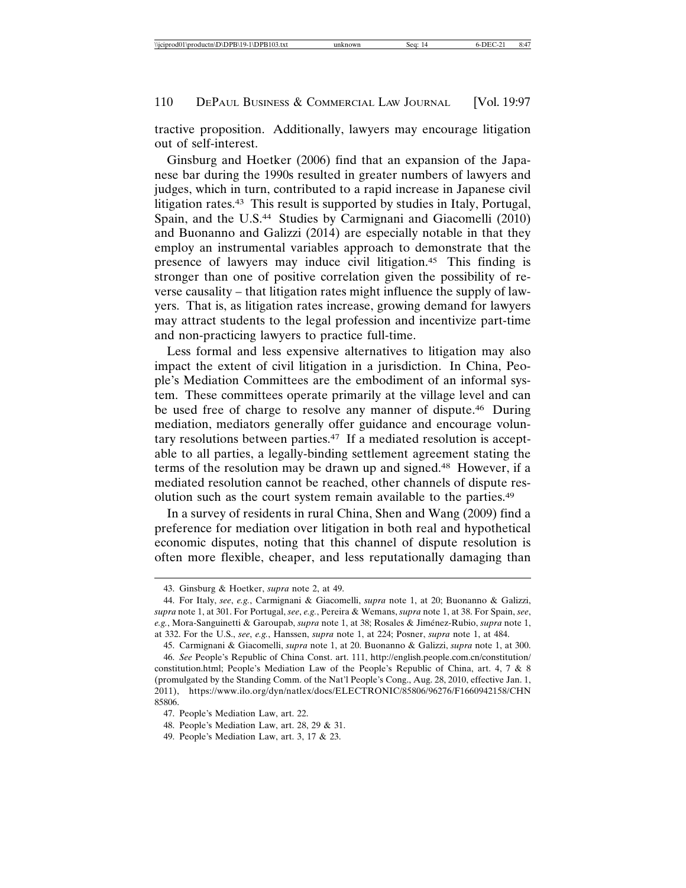tractive proposition. Additionally, lawyers may encourage litigation out of self-interest.

Ginsburg and Hoetker (2006) find that an expansion of the Japanese bar during the 1990s resulted in greater numbers of lawyers and judges, which in turn, contributed to a rapid increase in Japanese civil litigation rates.43 This result is supported by studies in Italy, Portugal, Spain, and the U.S.44 Studies by Carmignani and Giacomelli (2010) and Buonanno and Galizzi (2014) are especially notable in that they employ an instrumental variables approach to demonstrate that the presence of lawyers may induce civil litigation.45 This finding is stronger than one of positive correlation given the possibility of reverse causality – that litigation rates might influence the supply of lawyers. That is, as litigation rates increase, growing demand for lawyers may attract students to the legal profession and incentivize part-time and non-practicing lawyers to practice full-time.

Less formal and less expensive alternatives to litigation may also impact the extent of civil litigation in a jurisdiction. In China, People's Mediation Committees are the embodiment of an informal system. These committees operate primarily at the village level and can be used free of charge to resolve any manner of dispute.46 During mediation, mediators generally offer guidance and encourage voluntary resolutions between parties.47 If a mediated resolution is acceptable to all parties, a legally-binding settlement agreement stating the terms of the resolution may be drawn up and signed.48 However, if a mediated resolution cannot be reached, other channels of dispute resolution such as the court system remain available to the parties.49

In a survey of residents in rural China, Shen and Wang (2009) find a preference for mediation over litigation in both real and hypothetical economic disputes, noting that this channel of dispute resolution is often more flexible, cheaper, and less reputationally damaging than

<sup>43.</sup> Ginsburg & Hoetker, *supra* note 2, at 49.

<sup>44.</sup> For Italy, *see*, *e.g.*, Carmignani & Giacomelli, *supra* note 1, at 20; Buonanno & Galizzi, *supra* note 1, at 301. For Portugal, *see*, *e.g.*, Pereira & Wemans, *supra* note 1, at 38. For Spain, *see*, *e.g.*, Mora-Sanguinetti & Garoupab, *supra* note 1, at 38; Rosales & Jim ´enez-Rubio, *supra* note 1, at 332. For the U.S., *see*, *e.g.*, Hanssen, *supra* note 1, at 224; Posner, *supra* note 1, at 484.

<sup>45.</sup> Carmignani & Giacomelli, *supra* note 1, at 20. Buonanno & Galizzi, *supra* note 1, at 300. 46. *See* People's Republic of China Const. art. 111, http://english.people.com.cn/constitution/ constitution.html; People's Mediation Law of the People's Republic of China, art. 4, 7 & 8 (promulgated by the Standing Comm. of the Nat'l People's Cong., Aug. 28, 2010, effective Jan. 1, 2011), https://www.ilo.org/dyn/natlex/docs/ELECTRONIC/85806/96276/F1660942158/CHN 85806.

<sup>47.</sup> People's Mediation Law, art. 22.

<sup>48.</sup> People's Mediation Law, art. 28, 29 & 31.

<sup>49.</sup> People's Mediation Law, art. 3, 17 & 23.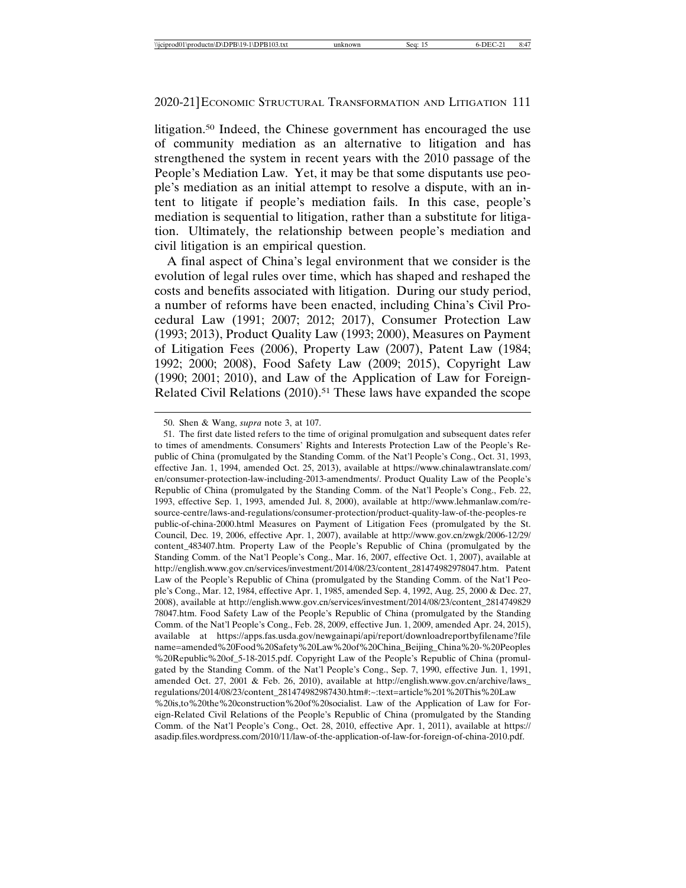litigation.50 Indeed, the Chinese government has encouraged the use of community mediation as an alternative to litigation and has strengthened the system in recent years with the 2010 passage of the People's Mediation Law. Yet, it may be that some disputants use people's mediation as an initial attempt to resolve a dispute, with an intent to litigate if people's mediation fails. In this case, people's mediation is sequential to litigation, rather than a substitute for litigation. Ultimately, the relationship between people's mediation and civil litigation is an empirical question.

A final aspect of China's legal environment that we consider is the evolution of legal rules over time, which has shaped and reshaped the costs and benefits associated with litigation. During our study period, a number of reforms have been enacted, including China's Civil Procedural Law (1991; 2007; 2012; 2017), Consumer Protection Law (1993; 2013), Product Quality Law (1993; 2000), Measures on Payment of Litigation Fees (2006), Property Law (2007), Patent Law (1984; 1992; 2000; 2008), Food Safety Law (2009; 2015), Copyright Law (1990; 2001; 2010), and Law of the Application of Law for Foreign-Related Civil Relations (2010).<sup>51</sup> These laws have expanded the scope

<sup>50.</sup> Shen & Wang, *supra* note 3, at 107.

<sup>51.</sup> The first date listed refers to the time of original promulgation and subsequent dates refer to times of amendments. Consumers' Rights and Interests Protection Law of the People's Republic of China (promulgated by the Standing Comm. of the Nat'l People's Cong., Oct. 31, 1993, effective Jan. 1, 1994, amended Oct. 25, 2013), available at https://www.chinalawtranslate.com/ en/consumer-protection-law-including-2013-amendments/. Product Quality Law of the People's Republic of China (promulgated by the Standing Comm. of the Nat'l People's Cong., Feb. 22, 1993, effective Sep. 1, 1993, amended Jul. 8, 2000), available at http://www.lehmanlaw.com/resource-centre/laws-and-regulations/consumer-protection/product-quality-law-of-the-peoples-re public-of-china-2000.html Measures on Payment of Litigation Fees (promulgated by the St. Council, Dec. 19, 2006, effective Apr. 1, 2007), available at http://www.gov.cn/zwgk/2006-12/29/ content\_483407.htm. Property Law of the People's Republic of China (promulgated by the Standing Comm. of the Nat'l People's Cong., Mar. 16, 2007, effective Oct. 1, 2007), available at http://english.www.gov.cn/services/investment/2014/08/23/content\_281474982978047.htm. Patent Law of the People's Republic of China (promulgated by the Standing Comm. of the Nat'l People's Cong., Mar. 12, 1984, effective Apr. 1, 1985, amended Sep. 4, 1992, Aug. 25, 2000 & Dec. 27, 2008), available at http://english.www.gov.cn/services/investment/2014/08/23/content\_2814749829 78047.htm. Food Safety Law of the People's Republic of China (promulgated by the Standing Comm. of the Nat'l People's Cong., Feb. 28, 2009, effective Jun. 1, 2009, amended Apr. 24, 2015), available at https://apps.fas.usda.gov/newgainapi/api/report/downloadreportbyfilename?file name=amended%20Food%20Safety%20Law%20of%20China\_Beijing\_China%20-%20Peoples %20Republic%20of\_5-18-2015.pdf. Copyright Law of the People's Republic of China (promulgated by the Standing Comm. of the Nat'l People's Cong., Sep. 7, 1990, effective Jun. 1, 1991, amended Oct. 27, 2001 & Feb. 26, 2010), available at http://english.www.gov.cn/archive/laws\_ regulations/2014/08/23/content\_281474982987430.htm#:~:text=article%201%20This%20Law %20is,to%20the%20construction%20of%20socialist. Law of the Application of Law for Foreign-Related Civil Relations of the People's Republic of China (promulgated by the Standing Comm. of the Nat'l People's Cong., Oct. 28, 2010, effective Apr. 1, 2011), available at https:// asadip.files.wordpress.com/2010/11/law-of-the-application-of-law-for-foreign-of-china-2010.pdf.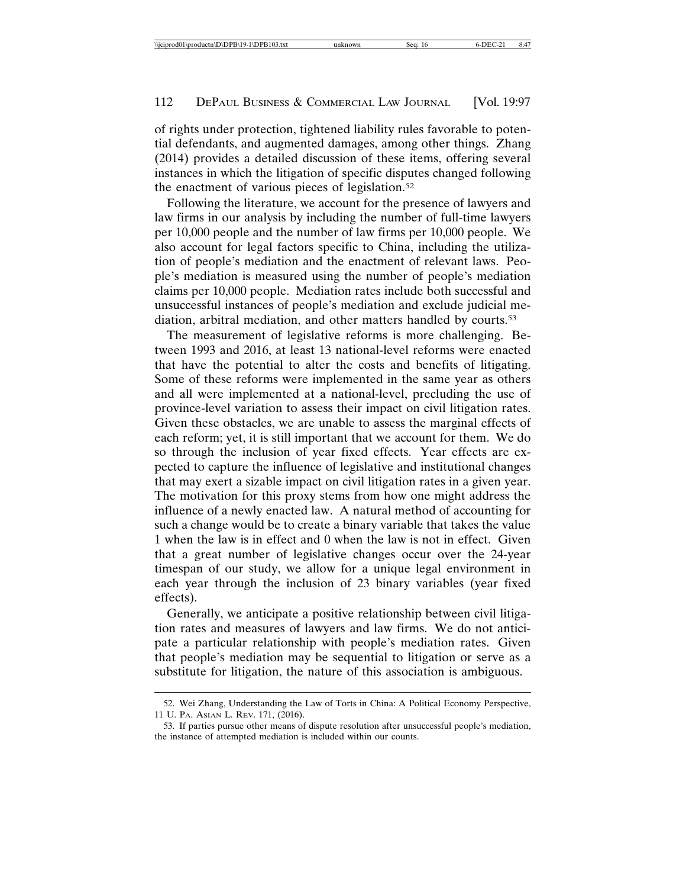of rights under protection, tightened liability rules favorable to potential defendants, and augmented damages, among other things. Zhang (2014) provides a detailed discussion of these items, offering several instances in which the litigation of specific disputes changed following the enactment of various pieces of legislation.52

Following the literature, we account for the presence of lawyers and law firms in our analysis by including the number of full-time lawyers per 10,000 people and the number of law firms per 10,000 people. We also account for legal factors specific to China, including the utilization of people's mediation and the enactment of relevant laws. People's mediation is measured using the number of people's mediation claims per 10,000 people. Mediation rates include both successful and unsuccessful instances of people's mediation and exclude judicial mediation, arbitral mediation, and other matters handled by courts.53

The measurement of legislative reforms is more challenging. Between 1993 and 2016, at least 13 national-level reforms were enacted that have the potential to alter the costs and benefits of litigating. Some of these reforms were implemented in the same year as others and all were implemented at a national-level, precluding the use of province-level variation to assess their impact on civil litigation rates. Given these obstacles, we are unable to assess the marginal effects of each reform; yet, it is still important that we account for them. We do so through the inclusion of year fixed effects. Year effects are expected to capture the influence of legislative and institutional changes that may exert a sizable impact on civil litigation rates in a given year. The motivation for this proxy stems from how one might address the influence of a newly enacted law. A natural method of accounting for such a change would be to create a binary variable that takes the value 1 when the law is in effect and 0 when the law is not in effect. Given that a great number of legislative changes occur over the 24-year timespan of our study, we allow for a unique legal environment in each year through the inclusion of 23 binary variables (year fixed effects).

Generally, we anticipate a positive relationship between civil litigation rates and measures of lawyers and law firms. We do not anticipate a particular relationship with people's mediation rates. Given that people's mediation may be sequential to litigation or serve as a substitute for litigation, the nature of this association is ambiguous.

<sup>52.</sup> Wei Zhang, Understanding the Law of Torts in China: A Political Economy Perspective, 11 U. PA. ASIAN L. REV. 171, (2016).

<sup>53.</sup> If parties pursue other means of dispute resolution after unsuccessful people's mediation, the instance of attempted mediation is included within our counts.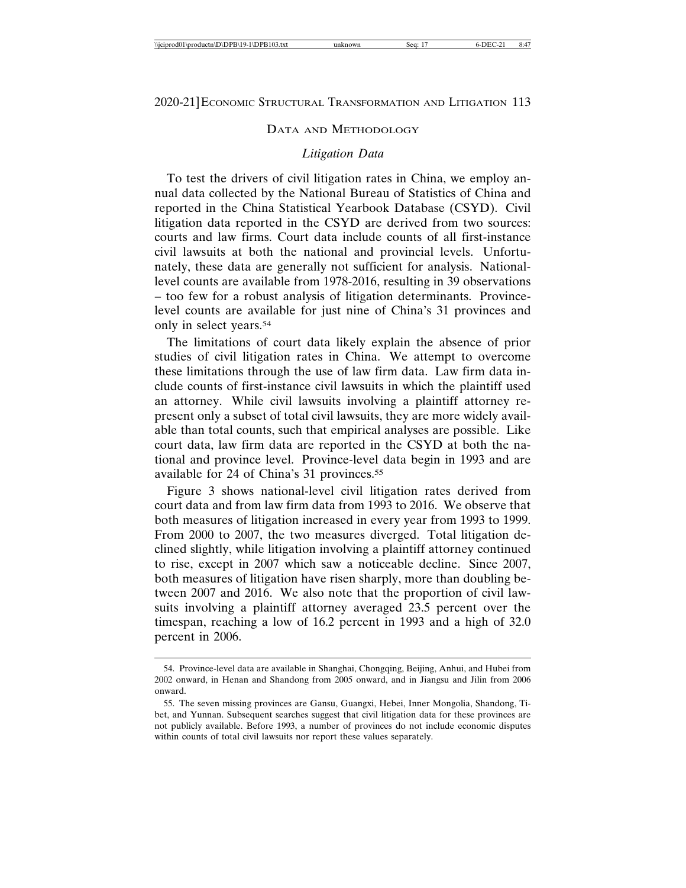#### DATA AND METHODOLOGY

#### *Litigation Data*

To test the drivers of civil litigation rates in China, we employ annual data collected by the National Bureau of Statistics of China and reported in the China Statistical Yearbook Database (CSYD). Civil litigation data reported in the CSYD are derived from two sources: courts and law firms. Court data include counts of all first-instance civil lawsuits at both the national and provincial levels. Unfortunately, these data are generally not sufficient for analysis. Nationallevel counts are available from 1978-2016, resulting in 39 observations – too few for a robust analysis of litigation determinants. Provincelevel counts are available for just nine of China's 31 provinces and only in select years.54

The limitations of court data likely explain the absence of prior studies of civil litigation rates in China. We attempt to overcome these limitations through the use of law firm data. Law firm data include counts of first-instance civil lawsuits in which the plaintiff used an attorney. While civil lawsuits involving a plaintiff attorney represent only a subset of total civil lawsuits, they are more widely available than total counts, such that empirical analyses are possible. Like court data, law firm data are reported in the CSYD at both the national and province level. Province-level data begin in 1993 and are available for 24 of China's 31 provinces.55

Figure 3 shows national-level civil litigation rates derived from court data and from law firm data from 1993 to 2016. We observe that both measures of litigation increased in every year from 1993 to 1999. From 2000 to 2007, the two measures diverged. Total litigation declined slightly, while litigation involving a plaintiff attorney continued to rise, except in 2007 which saw a noticeable decline. Since 2007, both measures of litigation have risen sharply, more than doubling between 2007 and 2016. We also note that the proportion of civil lawsuits involving a plaintiff attorney averaged 23.5 percent over the timespan, reaching a low of 16.2 percent in 1993 and a high of 32.0 percent in 2006.

<sup>54.</sup> Province-level data are available in Shanghai, Chongqing, Beijing, Anhui, and Hubei from 2002 onward, in Henan and Shandong from 2005 onward, and in Jiangsu and Jilin from 2006 onward.

<sup>55.</sup> The seven missing provinces are Gansu, Guangxi, Hebei, Inner Mongolia, Shandong, Tibet, and Yunnan. Subsequent searches suggest that civil litigation data for these provinces are not publicly available. Before 1993, a number of provinces do not include economic disputes within counts of total civil lawsuits nor report these values separately.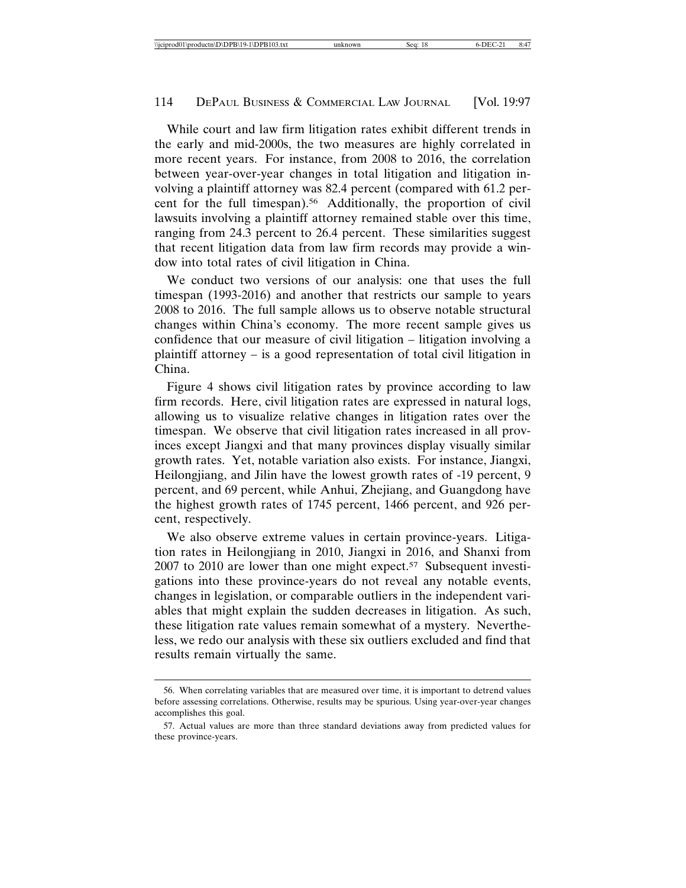While court and law firm litigation rates exhibit different trends in the early and mid-2000s, the two measures are highly correlated in more recent years. For instance, from 2008 to 2016, the correlation between year-over-year changes in total litigation and litigation involving a plaintiff attorney was 82.4 percent (compared with 61.2 percent for the full timespan).56 Additionally, the proportion of civil lawsuits involving a plaintiff attorney remained stable over this time, ranging from 24.3 percent to 26.4 percent. These similarities suggest that recent litigation data from law firm records may provide a window into total rates of civil litigation in China.

We conduct two versions of our analysis: one that uses the full timespan (1993-2016) and another that restricts our sample to years 2008 to 2016. The full sample allows us to observe notable structural changes within China's economy. The more recent sample gives us confidence that our measure of civil litigation – litigation involving a plaintiff attorney – is a good representation of total civil litigation in China.

Figure 4 shows civil litigation rates by province according to law firm records. Here, civil litigation rates are expressed in natural logs, allowing us to visualize relative changes in litigation rates over the timespan. We observe that civil litigation rates increased in all provinces except Jiangxi and that many provinces display visually similar growth rates. Yet, notable variation also exists. For instance, Jiangxi, Heilongjiang, and Jilin have the lowest growth rates of -19 percent, 9 percent, and 69 percent, while Anhui, Zhejiang, and Guangdong have the highest growth rates of 1745 percent, 1466 percent, and 926 percent, respectively.

We also observe extreme values in certain province-years. Litigation rates in Heilongjiang in 2010, Jiangxi in 2016, and Shanxi from 2007 to 2010 are lower than one might expect.<sup>57</sup> Subsequent investigations into these province-years do not reveal any notable events, changes in legislation, or comparable outliers in the independent variables that might explain the sudden decreases in litigation. As such, these litigation rate values remain somewhat of a mystery. Nevertheless, we redo our analysis with these six outliers excluded and find that results remain virtually the same.

<sup>56.</sup> When correlating variables that are measured over time, it is important to detrend values before assessing correlations. Otherwise, results may be spurious. Using year-over-year changes accomplishes this goal.

<sup>57.</sup> Actual values are more than three standard deviations away from predicted values for these province-years.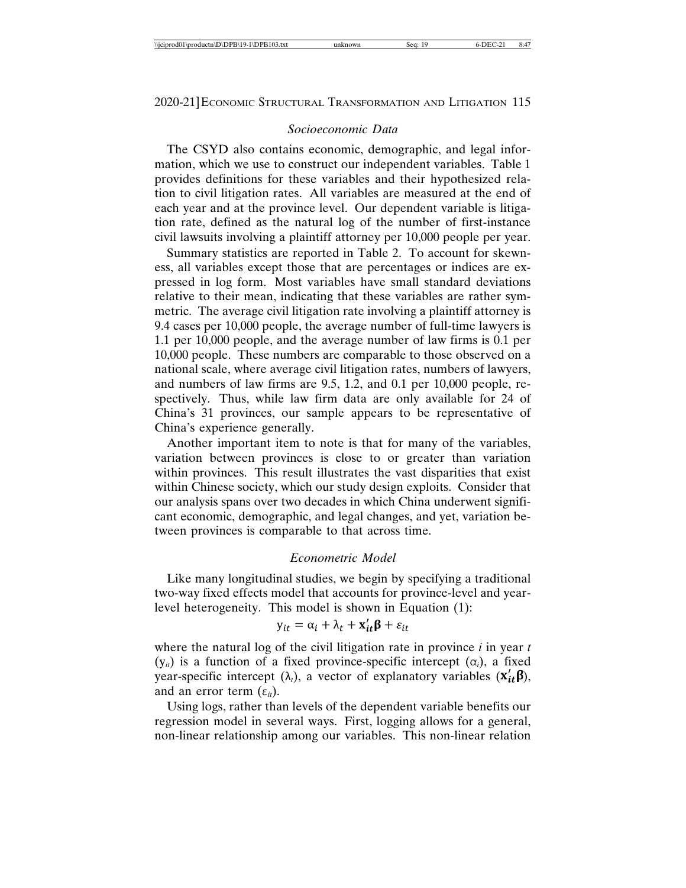#### *Socioeconomic Data*

The CSYD also contains economic, demographic, and legal information, which we use to construct our independent variables. Table 1 provides definitions for these variables and their hypothesized relation to civil litigation rates. All variables are measured at the end of each year and at the province level. Our dependent variable is litigation rate, defined as the natural log of the number of first-instance civil lawsuits involving a plaintiff attorney per 10,000 people per year.

Summary statistics are reported in Table 2. To account for skewness, all variables except those that are percentages or indices are expressed in log form. Most variables have small standard deviations relative to their mean, indicating that these variables are rather symmetric. The average civil litigation rate involving a plaintiff attorney is 9.4 cases per 10,000 people, the average number of full-time lawyers is 1.1 per 10,000 people, and the average number of law firms is 0.1 per 10,000 people. These numbers are comparable to those observed on a national scale, where average civil litigation rates, numbers of lawyers, and numbers of law firms are 9.5, 1.2, and 0.1 per 10,000 people, respectively. Thus, while law firm data are only available for 24 of China's 31 provinces, our sample appears to be representative of China's experience generally.

Another important item to note is that for many of the variables, variation between provinces is close to or greater than variation within provinces. This result illustrates the vast disparities that exist within Chinese society, which our study design exploits. Consider that our analysis spans over two decades in which China underwent significant economic, demographic, and legal changes, and yet, variation between provinces is comparable to that across time.

#### *Econometric Model*

Like many longitudinal studies, we begin by specifying a traditional two-way fixed effects model that accounts for province-level and yearlevel heterogeneity. This model is shown in Equation (1):

$$
y_{it} = \alpha_i + \lambda_t + \mathbf{x}'_{it} \mathbf{\beta} + \varepsilon_{it}
$$

where the natural log of the civil litigation rate in province *i* in year *t*  $(y_{it})$  is a function of a fixed province-specific intercept  $(\alpha_i)$ , a fixed year-specific intercept  $(\lambda_t)$ , a vector of explanatory variables  $(X_{it}^{\prime} \beta)$ , and an error term  $(\varepsilon_{it})$ .

Using logs, rather than levels of the dependent variable benefits our regression model in several ways. First, logging allows for a general, non-linear relationship among our variables. This non-linear relation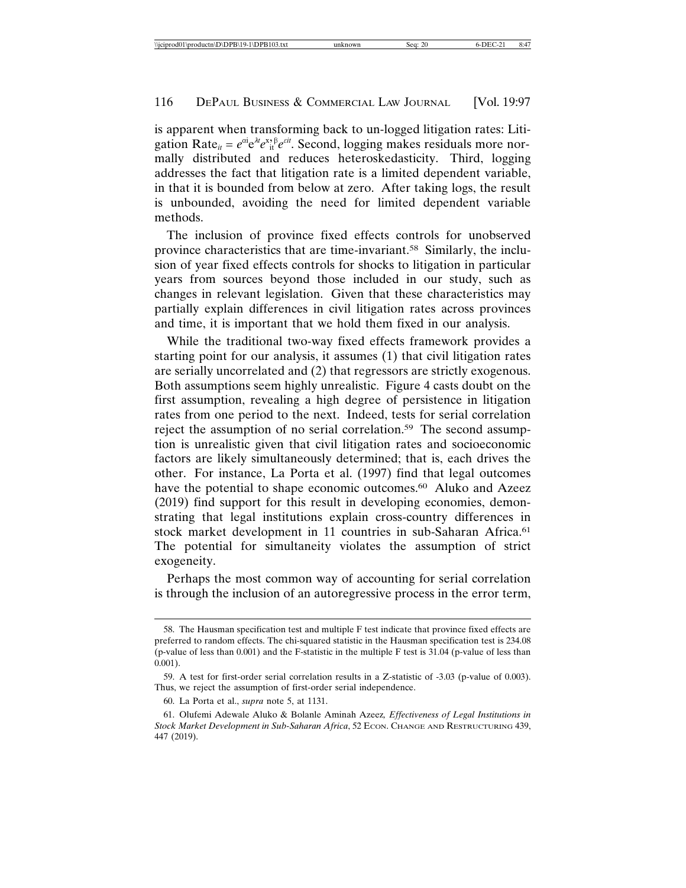is apparent when transforming back to un-logged litigation rates: Litigation Rate<sub>it</sub> =  $e^{\alpha i}e^{\lambda t}e^{\lambda t}$ <sup>*i*</sup>; Second, logging makes residuals more normally distributed and reduces heteroskedasticity. Third, logging addresses the fact that litigation rate is a limited dependent variable, in that it is bounded from below at zero. After taking logs, the result is unbounded, avoiding the need for limited dependent variable methods.

The inclusion of province fixed effects controls for unobserved province characteristics that are time-invariant.58 Similarly, the inclusion of year fixed effects controls for shocks to litigation in particular years from sources beyond those included in our study, such as changes in relevant legislation. Given that these characteristics may partially explain differences in civil litigation rates across provinces and time, it is important that we hold them fixed in our analysis.

While the traditional two-way fixed effects framework provides a starting point for our analysis, it assumes (1) that civil litigation rates are serially uncorrelated and (2) that regressors are strictly exogenous. Both assumptions seem highly unrealistic. Figure 4 casts doubt on the first assumption, revealing a high degree of persistence in litigation rates from one period to the next. Indeed, tests for serial correlation reject the assumption of no serial correlation.<sup>59</sup> The second assumption is unrealistic given that civil litigation rates and socioeconomic factors are likely simultaneously determined; that is, each drives the other. For instance, La Porta et al. (1997) find that legal outcomes have the potential to shape economic outcomes.<sup>60</sup> Aluko and Azeez (2019) find support for this result in developing economies, demonstrating that legal institutions explain cross-country differences in stock market development in 11 countries in sub-Saharan Africa.<sup>61</sup> The potential for simultaneity violates the assumption of strict exogeneity.

Perhaps the most common way of accounting for serial correlation is through the inclusion of an autoregressive process in the error term,

<sup>58.</sup> The Hausman specification test and multiple F test indicate that province fixed effects are preferred to random effects. The chi-squared statistic in the Hausman specification test is 234.08 (p-value of less than 0.001) and the F-statistic in the multiple F test is 31.04 (p-value of less than 0.001).

<sup>59.</sup> A test for first-order serial correlation results in a Z-statistic of -3.03 (p-value of 0.003). Thus, we reject the assumption of first-order serial independence.

<sup>60.</sup> La Porta et al., *supra* note 5, at 1131.

<sup>61.</sup> Olufemi Adewale Aluko & Bolanle Aminah Azeez*, Effectiveness of Legal Institutions in Stock Market Development in Sub-Saharan Africa*, 52 ECON. CHANGE AND RESTRUCTURING 439, 447 (2019).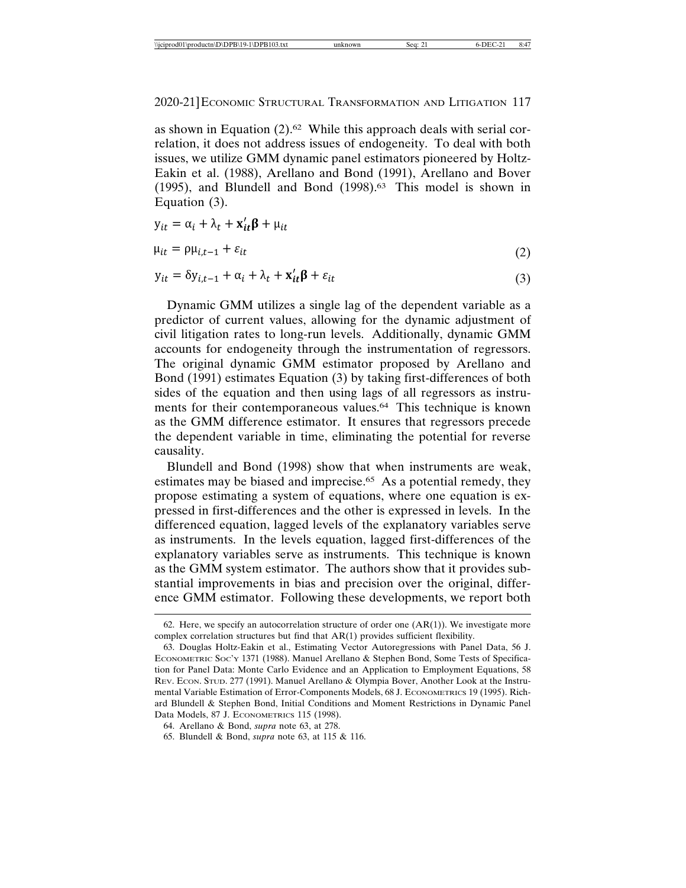as shown in Equation (2).62 While this approach deals with serial correlation, it does not address issues of endogeneity. To deal with both issues, we utilize GMM dynamic panel estimators pioneered by Holtz-Eakin et al. (1988), Arellano and Bond (1991), Arellano and Bover (1995), and Blundell and Bond (1998).63 This model is shown in Equation (3).

$$
y_{it} = \alpha_i + \lambda_t + \mathbf{x}'_{it} \mathbf{\beta} + \mu_{it}
$$

 $\mathbf{r}$ 

$$
\mu_{it} = \rho \mu_{i,t-1} + \varepsilon_{it} \tag{2}
$$

$$
y_{it} = \delta y_{i,t-1} + \alpha_i + \lambda_t + \mathbf{x}'_{it} \mathbf{\beta} + \varepsilon_{it}
$$
\n(3)

Dynamic GMM utilizes a single lag of the dependent variable as a predictor of current values, allowing for the dynamic adjustment of civil litigation rates to long-run levels. Additionally, dynamic GMM accounts for endogeneity through the instrumentation of regressors. The original dynamic GMM estimator proposed by Arellano and Bond (1991) estimates Equation (3) by taking first-differences of both sides of the equation and then using lags of all regressors as instruments for their contemporaneous values.64 This technique is known as the GMM difference estimator. It ensures that regressors precede the dependent variable in time, eliminating the potential for reverse causality.

Blundell and Bond (1998) show that when instruments are weak, estimates may be biased and imprecise.<sup>65</sup> As a potential remedy, they propose estimating a system of equations, where one equation is expressed in first-differences and the other is expressed in levels. In the differenced equation, lagged levels of the explanatory variables serve as instruments. In the levels equation, lagged first-differences of the explanatory variables serve as instruments. This technique is known as the GMM system estimator. The authors show that it provides substantial improvements in bias and precision over the original, difference GMM estimator. Following these developments, we report both

<sup>62.</sup> Here, we specify an autocorrelation structure of order one  $(AR(1))$ . We investigate more complex correlation structures but find that AR(1) provides sufficient flexibility.

<sup>63.</sup> Douglas Holtz-Eakin et al., Estimating Vector Autoregressions with Panel Data, 56 J. ECONOMETRIC SOC'Y 1371 (1988). Manuel Arellano & Stephen Bond, Some Tests of Specification for Panel Data: Monte Carlo Evidence and an Application to Employment Equations, 58 REV. ECON. STUD. 277 (1991). Manuel Arellano & Olympia Bover, Another Look at the Instrumental Variable Estimation of Error-Components Models, 68 J. ECONOMETRICS 19 (1995). Richard Blundell & Stephen Bond, Initial Conditions and Moment Restrictions in Dynamic Panel Data Models, 87 J. ECONOMETRICS 115 (1998).

<sup>64.</sup> Arellano & Bond, *supra* note 63, at 278.

<sup>65.</sup> Blundell & Bond, *supra* note 63, at 115 & 116.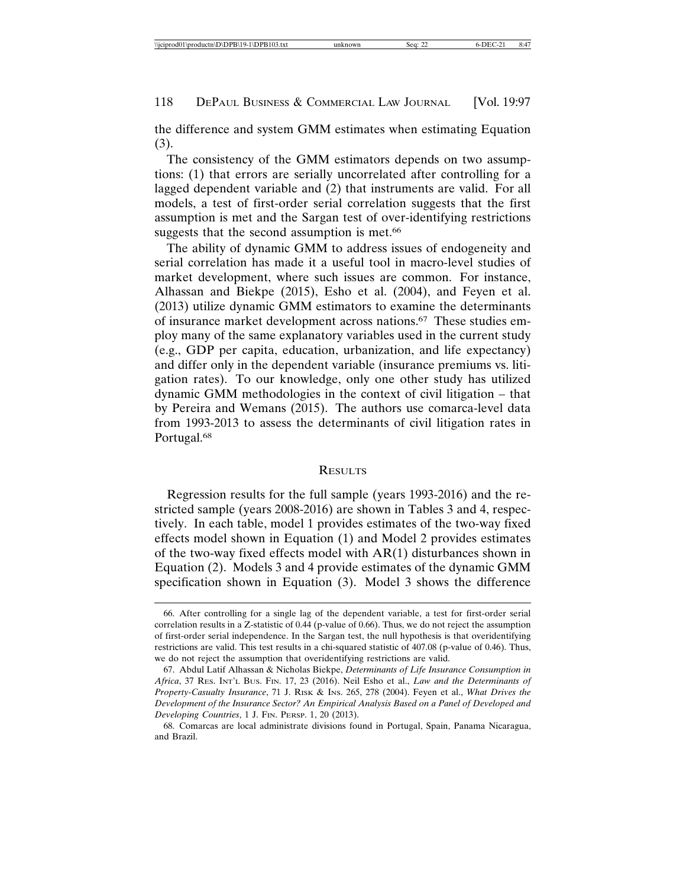the difference and system GMM estimates when estimating Equation (3).

The consistency of the GMM estimators depends on two assumptions: (1) that errors are serially uncorrelated after controlling for a lagged dependent variable and (2) that instruments are valid. For all models, a test of first-order serial correlation suggests that the first assumption is met and the Sargan test of over-identifying restrictions suggests that the second assumption is met.<sup>66</sup>

The ability of dynamic GMM to address issues of endogeneity and serial correlation has made it a useful tool in macro-level studies of market development, where such issues are common. For instance, Alhassan and Biekpe (2015), Esho et al. (2004), and Feyen et al. (2013) utilize dynamic GMM estimators to examine the determinants of insurance market development across nations.67 These studies employ many of the same explanatory variables used in the current study (e.g., GDP per capita, education, urbanization, and life expectancy) and differ only in the dependent variable (insurance premiums vs. litigation rates). To our knowledge, only one other study has utilized dynamic GMM methodologies in the context of civil litigation – that by Pereira and Wemans (2015). The authors use comarca-level data from 1993-2013 to assess the determinants of civil litigation rates in Portugal.<sup>68</sup>

#### **RESULTS**

Regression results for the full sample (years 1993-2016) and the restricted sample (years 2008-2016) are shown in Tables 3 and 4, respectively. In each table, model 1 provides estimates of the two-way fixed effects model shown in Equation (1) and Model 2 provides estimates of the two-way fixed effects model with AR(1) disturbances shown in Equation (2). Models 3 and 4 provide estimates of the dynamic GMM specification shown in Equation (3). Model 3 shows the difference

<sup>66.</sup> After controlling for a single lag of the dependent variable, a test for first-order serial correlation results in a Z-statistic of 0.44 (p-value of 0.66). Thus, we do not reject the assumption of first-order serial independence. In the Sargan test, the null hypothesis is that overidentifying restrictions are valid. This test results in a chi-squared statistic of 407.08 (p-value of 0.46). Thus, we do not reject the assumption that overidentifying restrictions are valid.

<sup>67.</sup> Abdul Latif Alhassan & Nicholas Biekpe, *Determinants of Life Insurance Consumption in Africa*, 37 RES. INT'L BUS. FIN. 17, 23 (2016). Neil Esho et al., *Law and the Determinants of Property-Casualty Insurance*, 71 J. RISK & INS. 265, 278 (2004). Feyen et al., *What Drives the Development of the Insurance Sector? An Empirical Analysis Based on a Panel of Developed and Developing Countries*, 1 J. FIN. PERSP. 1, 20 (2013).

<sup>68.</sup> Comarcas are local administrate divisions found in Portugal, Spain, Panama Nicaragua, and Brazil.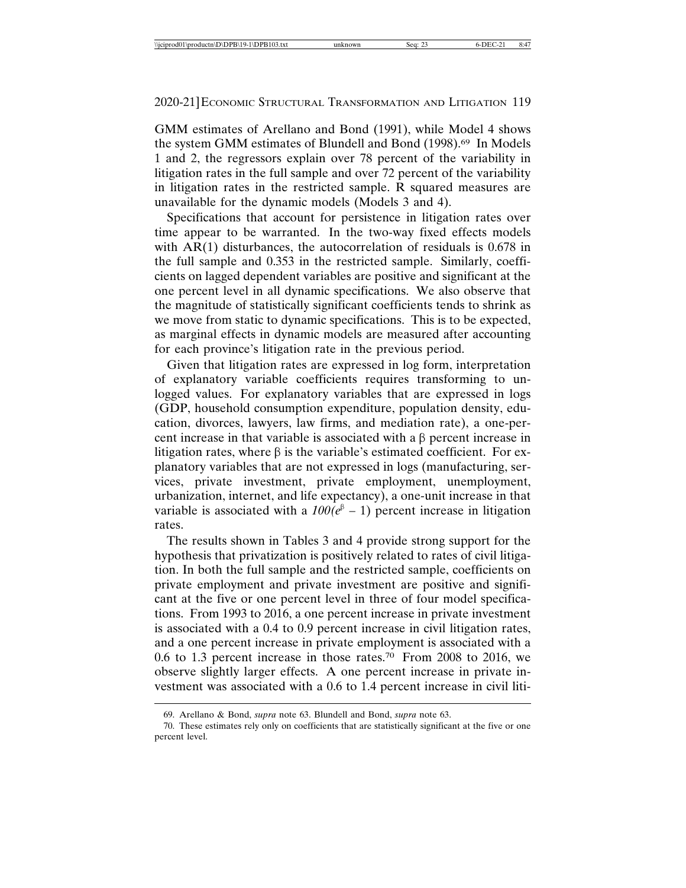GMM estimates of Arellano and Bond (1991), while Model 4 shows the system GMM estimates of Blundell and Bond (1998).69 In Models 1 and 2, the regressors explain over 78 percent of the variability in litigation rates in the full sample and over 72 percent of the variability in litigation rates in the restricted sample. R squared measures are unavailable for the dynamic models (Models 3 and 4).

Specifications that account for persistence in litigation rates over time appear to be warranted. In the two-way fixed effects models with AR(1) disturbances, the autocorrelation of residuals is 0.678 in the full sample and 0.353 in the restricted sample. Similarly, coefficients on lagged dependent variables are positive and significant at the one percent level in all dynamic specifications. We also observe that the magnitude of statistically significant coefficients tends to shrink as we move from static to dynamic specifications. This is to be expected, as marginal effects in dynamic models are measured after accounting for each province's litigation rate in the previous period.

Given that litigation rates are expressed in log form, interpretation of explanatory variable coefficients requires transforming to unlogged values. For explanatory variables that are expressed in logs (GDP, household consumption expenditure, population density, education, divorces, lawyers, law firms, and mediation rate), a one-percent increase in that variable is associated with a  $\beta$  percent increase in litigation rates, where  $\beta$  is the variable's estimated coefficient. For explanatory variables that are not expressed in logs (manufacturing, services, private investment, private employment, unemployment, urbanization, internet, and life expectancy), a one-unit increase in that variable is associated with a  $100(e^{\beta} - 1)$  percent increase in litigation rates.

The results shown in Tables 3 and 4 provide strong support for the hypothesis that privatization is positively related to rates of civil litigation. In both the full sample and the restricted sample, coefficients on private employment and private investment are positive and significant at the five or one percent level in three of four model specifications. From 1993 to 2016, a one percent increase in private investment is associated with a 0.4 to 0.9 percent increase in civil litigation rates, and a one percent increase in private employment is associated with a 0.6 to 1.3 percent increase in those rates.70 From 2008 to 2016, we observe slightly larger effects. A one percent increase in private investment was associated with a 0.6 to 1.4 percent increase in civil liti-

<sup>69.</sup> Arellano & Bond, *supra* note 63. Blundell and Bond, *supra* note 63.

<sup>70.</sup> These estimates rely only on coefficients that are statistically significant at the five or one percent level.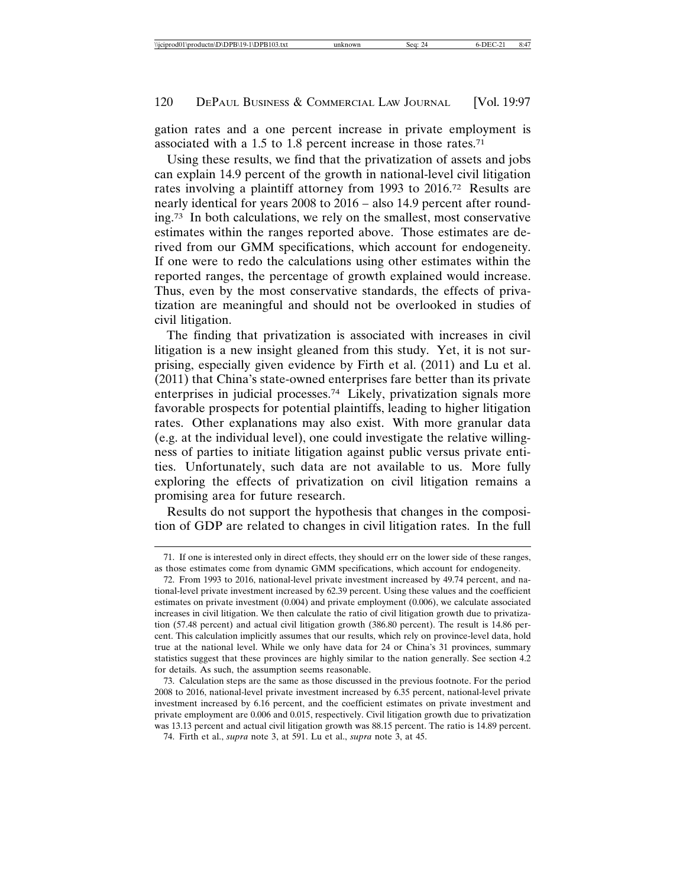gation rates and a one percent increase in private employment is associated with a 1.5 to 1.8 percent increase in those rates.71

Using these results, we find that the privatization of assets and jobs can explain 14.9 percent of the growth in national-level civil litigation rates involving a plaintiff attorney from 1993 to 2016.72 Results are nearly identical for years 2008 to 2016 – also 14.9 percent after rounding.73 In both calculations, we rely on the smallest, most conservative estimates within the ranges reported above. Those estimates are derived from our GMM specifications, which account for endogeneity. If one were to redo the calculations using other estimates within the reported ranges, the percentage of growth explained would increase. Thus, even by the most conservative standards, the effects of privatization are meaningful and should not be overlooked in studies of civil litigation.

The finding that privatization is associated with increases in civil litigation is a new insight gleaned from this study. Yet, it is not surprising, especially given evidence by Firth et al. (2011) and Lu et al. (2011) that China's state-owned enterprises fare better than its private enterprises in judicial processes.74 Likely, privatization signals more favorable prospects for potential plaintiffs, leading to higher litigation rates. Other explanations may also exist. With more granular data (e.g. at the individual level), one could investigate the relative willingness of parties to initiate litigation against public versus private entities. Unfortunately, such data are not available to us. More fully exploring the effects of privatization on civil litigation remains a promising area for future research.

Results do not support the hypothesis that changes in the composition of GDP are related to changes in civil litigation rates. In the full

<sup>71.</sup> If one is interested only in direct effects, they should err on the lower side of these ranges, as those estimates come from dynamic GMM specifications, which account for endogeneity.

<sup>72.</sup> From 1993 to 2016, national-level private investment increased by 49.74 percent, and national-level private investment increased by 62.39 percent. Using these values and the coefficient estimates on private investment (0.004) and private employment (0.006), we calculate associated increases in civil litigation. We then calculate the ratio of civil litigation growth due to privatization (57.48 percent) and actual civil litigation growth (386.80 percent). The result is 14.86 percent. This calculation implicitly assumes that our results, which rely on province-level data, hold true at the national level. While we only have data for 24 or China's 31 provinces, summary statistics suggest that these provinces are highly similar to the nation generally. See section 4.2 for details. As such, the assumption seems reasonable.

<sup>73.</sup> Calculation steps are the same as those discussed in the previous footnote. For the period 2008 to 2016, national-level private investment increased by 6.35 percent, national-level private investment increased by 6.16 percent, and the coefficient estimates on private investment and private employment are 0.006 and 0.015, respectively. Civil litigation growth due to privatization was 13.13 percent and actual civil litigation growth was 88.15 percent. The ratio is 14.89 percent.

<sup>74.</sup> Firth et al., *supra* note 3, at 591. Lu et al., *supra* note 3, at 45.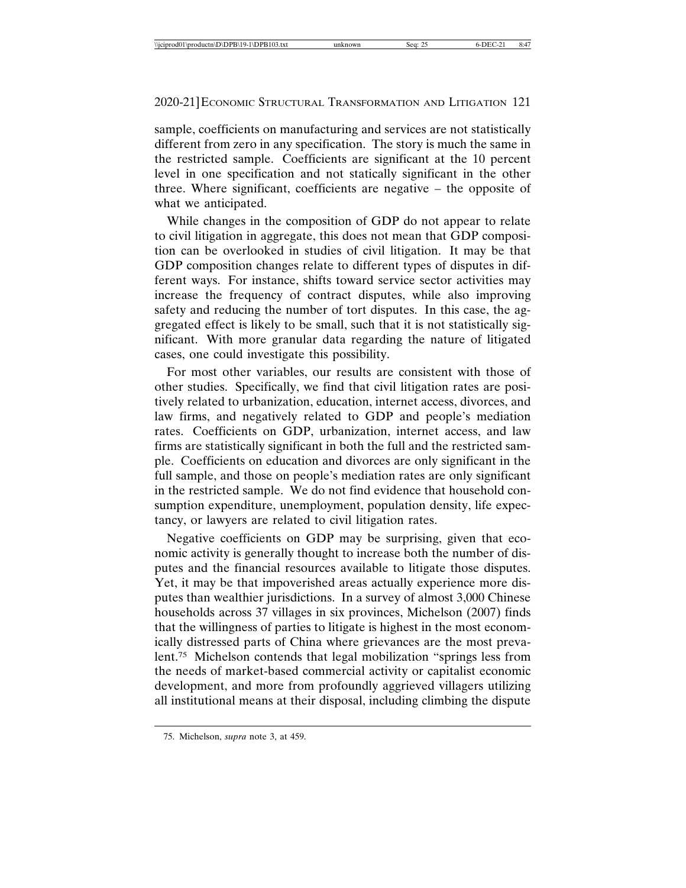sample, coefficients on manufacturing and services are not statistically different from zero in any specification. The story is much the same in the restricted sample. Coefficients are significant at the 10 percent level in one specification and not statically significant in the other three. Where significant, coefficients are negative – the opposite of what we anticipated.

While changes in the composition of GDP do not appear to relate to civil litigation in aggregate, this does not mean that GDP composition can be overlooked in studies of civil litigation. It may be that GDP composition changes relate to different types of disputes in different ways. For instance, shifts toward service sector activities may increase the frequency of contract disputes, while also improving safety and reducing the number of tort disputes. In this case, the aggregated effect is likely to be small, such that it is not statistically significant. With more granular data regarding the nature of litigated cases, one could investigate this possibility.

For most other variables, our results are consistent with those of other studies. Specifically, we find that civil litigation rates are positively related to urbanization, education, internet access, divorces, and law firms, and negatively related to GDP and people's mediation rates. Coefficients on GDP, urbanization, internet access, and law firms are statistically significant in both the full and the restricted sample. Coefficients on education and divorces are only significant in the full sample, and those on people's mediation rates are only significant in the restricted sample. We do not find evidence that household consumption expenditure, unemployment, population density, life expectancy, or lawyers are related to civil litigation rates.

Negative coefficients on GDP may be surprising, given that economic activity is generally thought to increase both the number of disputes and the financial resources available to litigate those disputes. Yet, it may be that impoverished areas actually experience more disputes than wealthier jurisdictions. In a survey of almost 3,000 Chinese households across 37 villages in six provinces, Michelson (2007) finds that the willingness of parties to litigate is highest in the most economically distressed parts of China where grievances are the most prevalent.75 Michelson contends that legal mobilization "springs less from the needs of market-based commercial activity or capitalist economic development, and more from profoundly aggrieved villagers utilizing all institutional means at their disposal, including climbing the dispute

<sup>75.</sup> Michelson, *supra* note 3, at 459.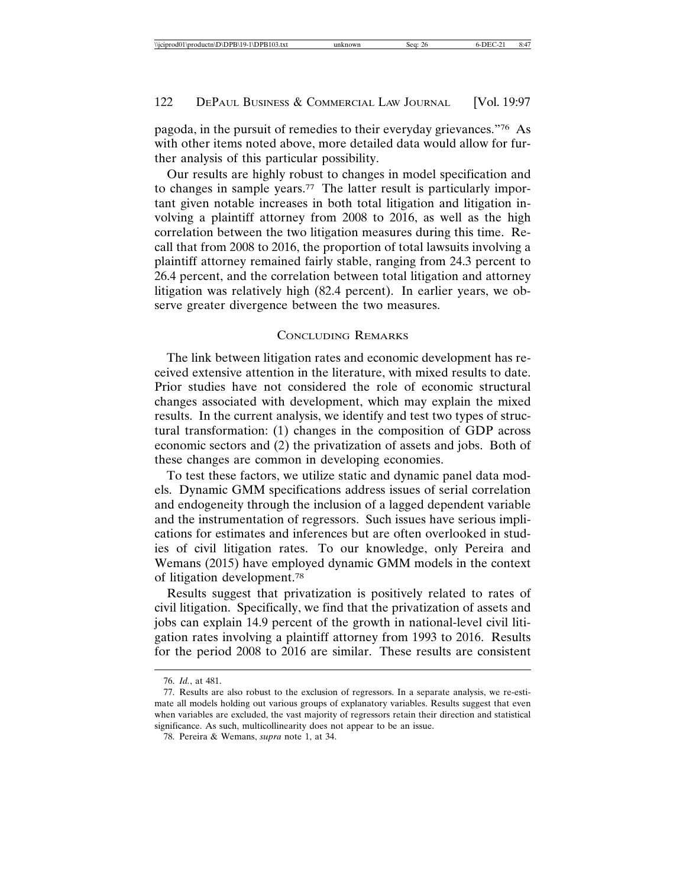pagoda, in the pursuit of remedies to their everyday grievances."76 As with other items noted above, more detailed data would allow for further analysis of this particular possibility.

Our results are highly robust to changes in model specification and to changes in sample years.<sup>77</sup> The latter result is particularly important given notable increases in both total litigation and litigation involving a plaintiff attorney from 2008 to 2016, as well as the high correlation between the two litigation measures during this time. Recall that from 2008 to 2016, the proportion of total lawsuits involving a plaintiff attorney remained fairly stable, ranging from 24.3 percent to 26.4 percent, and the correlation between total litigation and attorney litigation was relatively high (82.4 percent). In earlier years, we observe greater divergence between the two measures.

#### CONCLUDING REMARKS

The link between litigation rates and economic development has received extensive attention in the literature, with mixed results to date. Prior studies have not considered the role of economic structural changes associated with development, which may explain the mixed results. In the current analysis, we identify and test two types of structural transformation: (1) changes in the composition of GDP across economic sectors and (2) the privatization of assets and jobs. Both of these changes are common in developing economies.

To test these factors, we utilize static and dynamic panel data models. Dynamic GMM specifications address issues of serial correlation and endogeneity through the inclusion of a lagged dependent variable and the instrumentation of regressors. Such issues have serious implications for estimates and inferences but are often overlooked in studies of civil litigation rates. To our knowledge, only Pereira and Wemans (2015) have employed dynamic GMM models in the context of litigation development.78

Results suggest that privatization is positively related to rates of civil litigation. Specifically, we find that the privatization of assets and jobs can explain 14.9 percent of the growth in national-level civil litigation rates involving a plaintiff attorney from 1993 to 2016. Results for the period 2008 to 2016 are similar. These results are consistent

<sup>76.</sup> *Id.*, at 481.

<sup>77.</sup> Results are also robust to the exclusion of regressors. In a separate analysis, we re-estimate all models holding out various groups of explanatory variables. Results suggest that even when variables are excluded, the vast majority of regressors retain their direction and statistical significance. As such, multicollinearity does not appear to be an issue.

<sup>78.</sup> Pereira & Wemans, *supra* note 1, at 34.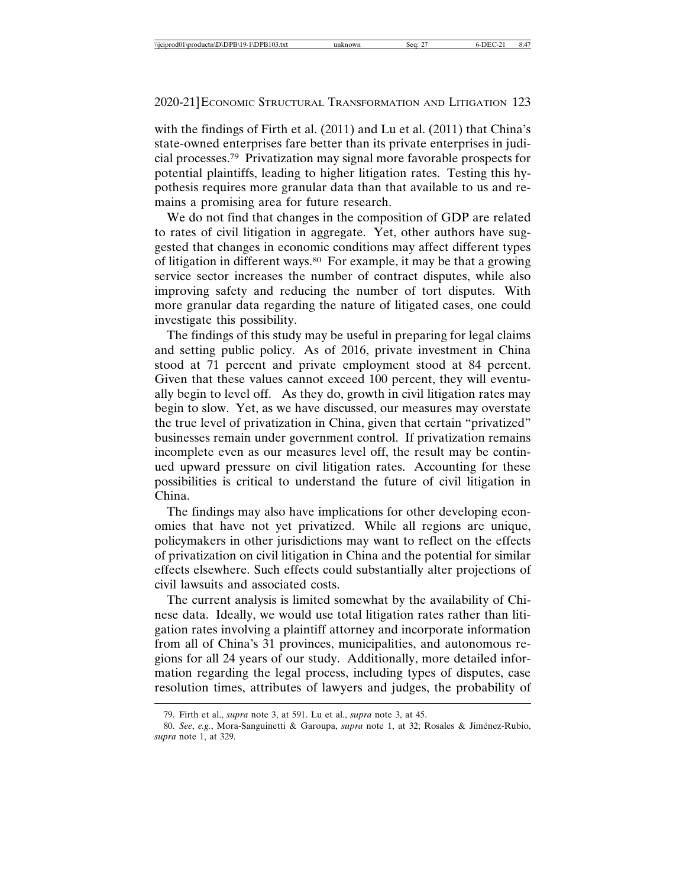with the findings of Firth et al. (2011) and Lu et al. (2011) that China's state-owned enterprises fare better than its private enterprises in judicial processes.79 Privatization may signal more favorable prospects for potential plaintiffs, leading to higher litigation rates. Testing this hypothesis requires more granular data than that available to us and remains a promising area for future research.

We do not find that changes in the composition of GDP are related to rates of civil litigation in aggregate. Yet, other authors have suggested that changes in economic conditions may affect different types of litigation in different ways.80 For example, it may be that a growing service sector increases the number of contract disputes, while also improving safety and reducing the number of tort disputes. With more granular data regarding the nature of litigated cases, one could investigate this possibility.

The findings of this study may be useful in preparing for legal claims and setting public policy. As of 2016, private investment in China stood at 71 percent and private employment stood at 84 percent. Given that these values cannot exceed 100 percent, they will eventually begin to level off. As they do, growth in civil litigation rates may begin to slow. Yet, as we have discussed, our measures may overstate the true level of privatization in China, given that certain "privatized" businesses remain under government control. If privatization remains incomplete even as our measures level off, the result may be continued upward pressure on civil litigation rates. Accounting for these possibilities is critical to understand the future of civil litigation in China.

The findings may also have implications for other developing economies that have not yet privatized. While all regions are unique, policymakers in other jurisdictions may want to reflect on the effects of privatization on civil litigation in China and the potential for similar effects elsewhere. Such effects could substantially alter projections of civil lawsuits and associated costs.

The current analysis is limited somewhat by the availability of Chinese data. Ideally, we would use total litigation rates rather than litigation rates involving a plaintiff attorney and incorporate information from all of China's 31 provinces, municipalities, and autonomous regions for all 24 years of our study. Additionally, more detailed information regarding the legal process, including types of disputes, case resolution times, attributes of lawyers and judges, the probability of

<sup>79.</sup> Firth et al., *supra* note 3, at 591. Lu et al., *supra* note 3, at 45.

<sup>80.</sup> See, e.g., Mora-Sanguinetti & Garoupa, *supra* note 1, at 32; Rosales & Jiménez-Rubio, *supra* note 1, at 329.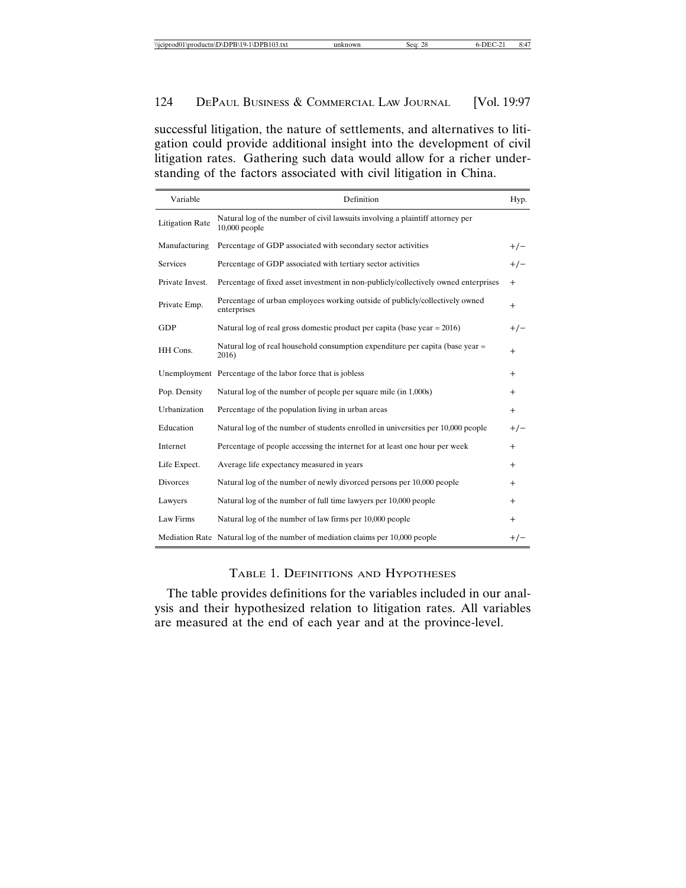successful litigation, the nature of settlements, and alternatives to litigation could provide additional insight into the development of civil litigation rates. Gathering such data would allow for a richer understanding of the factors associated with civil litigation in China.

| Variable               | Definition                                                                                        | Hyp.   |
|------------------------|---------------------------------------------------------------------------------------------------|--------|
| <b>Litigation Rate</b> | Natural log of the number of civil lawsuits involving a plaintiff attorney per<br>$10,000$ people |        |
| Manufacturing          | Percentage of GDP associated with secondary sector activities                                     | $+/-$  |
| Services               | Percentage of GDP associated with tertiary sector activities                                      | $+/-$  |
| Private Invest.        | Percentage of fixed asset investment in non-publicly/collectively owned enterprises               | $^{+}$ |
| Private Emp.           | Percentage of urban employees working outside of publicly/collectively owned<br>enterprises       | $+$    |
| GDP                    | Natural log of real gross domestic product per capita (base year $= 2016$ )                       | $+/-$  |
| HH Cons.               | Natural log of real household consumption expenditure per capita (base year =<br>2016)            | $+$    |
|                        | Unemployment Percentage of the labor force that is jobless                                        | $+$    |
| Pop. Density           | Natural log of the number of people per square mile (in 1,000s)                                   | $^{+}$ |
| Urbanization           | Percentage of the population living in urban areas                                                | $+$    |
| Education              | Natural log of the number of students enrolled in universities per 10,000 people                  | $+/-$  |
| Internet               | Percentage of people accessing the internet for at least one hour per week                        | $+$    |
| Life Expect.           | Average life expectancy measured in years                                                         | $^{+}$ |
| <b>Divorces</b>        | Natural log of the number of newly divorced persons per 10,000 people                             | $+$    |
| Lawyers                | Natural log of the number of full time lawyers per 10,000 people                                  | $^{+}$ |
| Law Firms              | Natural log of the number of law firms per 10,000 people                                          | $^{+}$ |
|                        | Mediation Rate Natural log of the number of mediation claims per 10,000 people                    | $+/-$  |

## TABLE 1. DEFINITIONS AND HYPOTHESES

The table provides definitions for the variables included in our analysis and their hypothesized relation to litigation rates. All variables are measured at the end of each year and at the province-level.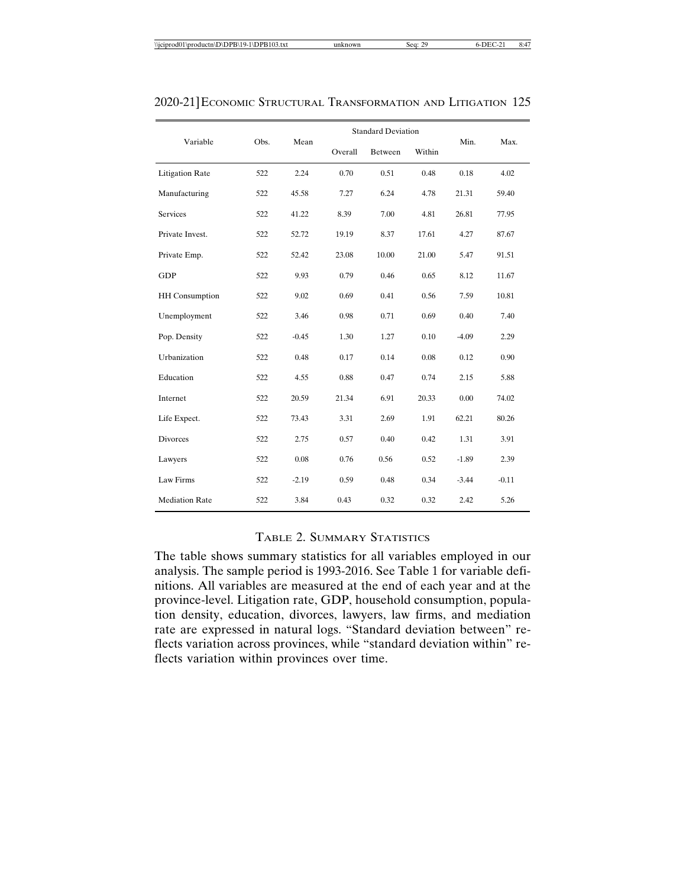|                        |      |         |         | <b>Standard Deviation</b> |        |         |         |
|------------------------|------|---------|---------|---------------------------|--------|---------|---------|
| Variable               | Obs. | Mean    | Overall | Between                   | Within | Min.    | Max.    |
| <b>Litigation Rate</b> | 522  | 2.24    | 0.70    | 0.51                      | 0.48   | 0.18    | 4.02    |
| Manufacturing          | 522  | 45.58   | 7.27    | 6.24                      | 4.78   | 21.31   | 59.40   |
| <b>Services</b>        | 522  | 41.22   | 8.39    | 7.00                      | 4.81   | 26.81   | 77.95   |
| Private Invest.        | 522  | 52.72   | 19.19   | 8.37                      | 17.61  | 4.27    | 87.67   |
| Private Emp.           | 522  | 52.42   | 23.08   | 10.00                     | 21.00  | 5.47    | 91.51   |
| GDP                    | 522  | 9.93    | 0.79    | 0.46                      | 0.65   | 8.12    | 11.67   |
| <b>HH</b> Consumption  | 522  | 9.02    | 0.69    | 0.41                      | 0.56   | 7.59    | 10.81   |
| Unemployment           | 522  | 3.46    | 0.98    | 0.71                      | 0.69   | 0.40    | 7.40    |
| Pop. Density           | 522  | $-0.45$ | 1.30    | 1.27                      | 0.10   | $-4.09$ | 2.29    |
| Urbanization           | 522  | 0.48    | 0.17    | 0.14                      | 0.08   | 0.12    | 0.90    |
| Education              | 522  | 4.55    | 0.88    | 0.47                      | 0.74   | 2.15    | 5.88    |
| Internet               | 522  | 20.59   | 21.34   | 6.91                      | 20.33  | 0.00    | 74.02   |
| Life Expect.           | 522  | 73.43   | 3.31    | 2.69                      | 1.91   | 62.21   | 80.26   |
| <b>Divorces</b>        | 522  | 2.75    | 0.57    | 0.40                      | 0.42   | 1.31    | 3.91    |
| Lawyers                | 522  | 0.08    | 0.76    | 0.56                      | 0.52   | $-1.89$ | 2.39    |
| Law Firms              | 522  | $-2.19$ | 0.59    | 0.48                      | 0.34   | $-3.44$ | $-0.11$ |
| <b>Mediation Rate</b>  | 522  | 3.84    | 0.43    | 0.32                      | 0.32   | 2.42    | 5.26    |

## TABLE 2. SUMMARY STATISTICS

The table shows summary statistics for all variables employed in our analysis. The sample period is 1993-2016. See Table 1 for variable definitions. All variables are measured at the end of each year and at the province-level. Litigation rate, GDP, household consumption, population density, education, divorces, lawyers, law firms, and mediation rate are expressed in natural logs. "Standard deviation between" reflects variation across provinces, while "standard deviation within" reflects variation within provinces over time.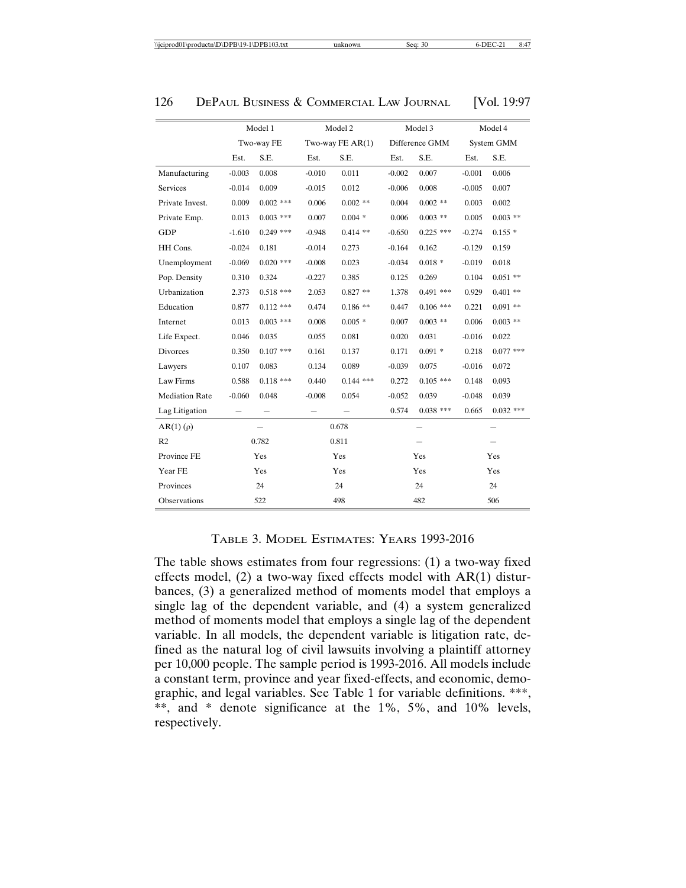|                       | Model 1    |             | Model 2           |             |                          | Model 3     | Model 4                  |             |
|-----------------------|------------|-------------|-------------------|-------------|--------------------------|-------------|--------------------------|-------------|
|                       | Two-way FE |             | Two-way $FEAR(1)$ |             | Difference GMM           |             | System GMM               |             |
|                       | Est.       | S.E.        | Est.              | S.E.        | Est.                     | S.E.        | Est.                     | S.E.        |
| Manufacturing         | $-0.003$   | 0.008       | $-0.010$          | 0.011       | $-0.002$                 | 0.007       | $-0.001$                 | 0.006       |
| Services              | $-0.014$   | 0.009       | $-0.015$          | 0.012       | $-0.006$                 | 0.008       | $-0.005$                 | 0.007       |
| Private Invest.       | 0.009      | $0.002$ *** | 0.006             | $0.002$ **  | 0.004                    | $0.002$ **  | 0.003                    | 0.002       |
| Private Emp.          | 0.013      | $0.003$ *** | 0.007             | $0.004*$    | 0.006                    | $0.003$ **  | 0.005                    | $0.003$ **  |
| <b>GDP</b>            | $-1.610$   | $0.249$ *** | $-0.948$          | $0.414$ **  | $-0.650$                 | $0.225$ *** | $-0.274$                 | $0.155*$    |
| HH Cons.              | $-0.024$   | 0.181       | $-0.014$          | 0.273       | $-0.164$                 | 0.162       | $-0.129$                 | 0.159       |
| Unemployment          | $-0.069$   | $0.020$ *** | $-0.008$          | 0.023       | $-0.034$                 | $0.018 *$   | $-0.019$                 | 0.018       |
| Pop. Density          | 0.310      | 0.324       | $-0.227$          | 0.385       | 0.125                    | 0.269       | 0.104                    | $0.051$ **  |
| Urbanization          | 2.373      | $0.518$ *** | 2.053             | $0.827**$   | 1.378                    | $0.491$ *** | 0.929                    | $0.401$ **  |
| Education             | 0.877      | $0.112$ *** | 0.474             | $0.186**$   | 0.447                    | $0.106$ *** | 0.221                    | $0.091$ **  |
| Internet              | 0.013      | $0.003$ *** | 0.008             | $0.005*$    | 0.007                    | $0.003$ **  | 0.006                    | $0.003$ **  |
| Life Expect.          | 0.046      | 0.035       | 0.055             | 0.081       | 0.020                    | 0.031       | $-0.016$                 | 0.022       |
| Divorces              | 0.350      | $0.107$ *** | 0.161             | 0.137       | 0.171                    | $0.091*$    | 0.218                    | $0.077$ *** |
| Lawyers               | 0.107      | 0.083       | 0.134             | 0.089       | $-0.039$                 | 0.075       | $-0.016$                 | 0.072       |
| Law Firms             | 0.588      | $0.118$ *** | 0.440             | $0.144$ *** | 0.272                    | $0.105$ *** | 0.148                    | 0.093       |
| <b>Mediation Rate</b> | $-0.060$   | 0.048       | $-0.008$          | 0.054       | $-0.052$                 | 0.039       | $-0.048$                 | 0.039       |
| Lag Litigation        |            |             |                   |             | 0.574                    | $0.038$ *** | 0.665                    | $0.032$ *** |
| $AR(1)$ ( $\rho$ )    |            |             | 0.678             |             | $\overline{\phantom{0}}$ |             | $\overline{\phantom{0}}$ |             |
| R2                    |            | 0.782       | 0.811             |             |                          |             |                          |             |
| Province FE           | Yes        |             | Yes               |             | Yes                      |             | Yes                      |             |
| Year FE               | Yes        |             | Yes               |             | Yes                      |             | Yes                      |             |
| Provinces             |            | 24          | 24                |             | 24                       |             | 24                       |             |
| Observations          |            | 522         | 498               |             | 482                      |             | 506                      |             |

## TABLE 3. MODEL ESTIMATES: YEARS 1993-2016

The table shows estimates from four regressions: (1) a two-way fixed effects model, (2) a two-way fixed effects model with AR(1) disturbances, (3) a generalized method of moments model that employs a single lag of the dependent variable, and (4) a system generalized method of moments model that employs a single lag of the dependent variable. In all models, the dependent variable is litigation rate, defined as the natural log of civil lawsuits involving a plaintiff attorney per 10,000 people. The sample period is 1993-2016. All models include a constant term, province and year fixed-effects, and economic, demographic, and legal variables. See Table 1 for variable definitions. \*\*\*, \*\*, and \* denote significance at the 1%, 5%, and 10% levels, respectively.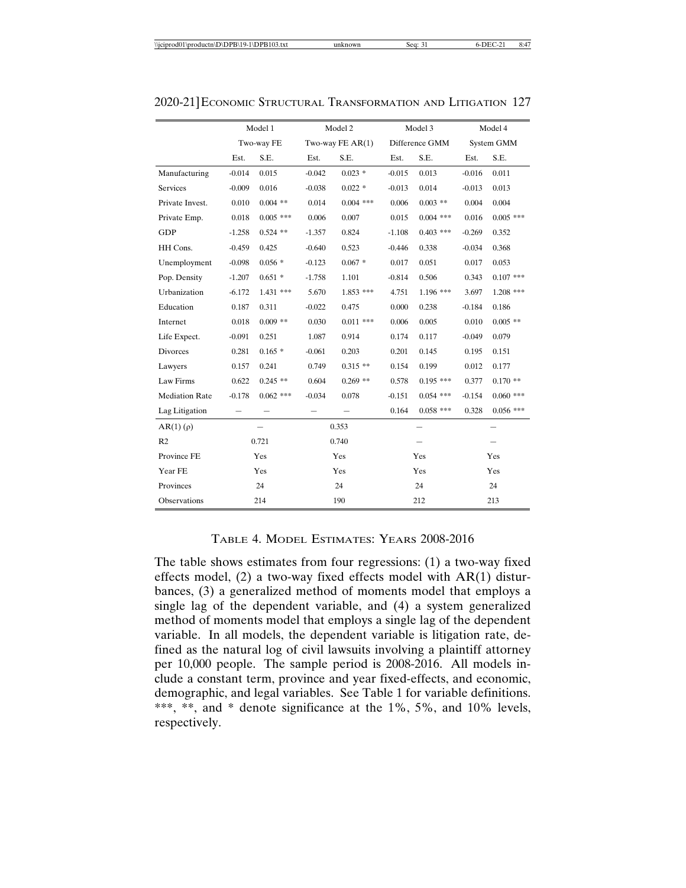|                       | Model 1    |             | Model 2           |             |                | Model 3     | Model 4    |             |
|-----------------------|------------|-------------|-------------------|-------------|----------------|-------------|------------|-------------|
|                       | Two-way FE |             | Two-way $FEAR(1)$ |             | Difference GMM |             | System GMM |             |
|                       | Est.       | S.E.        | Est.              | S.E.        | Est.           | S.E.        | Est.       | S.E.        |
| Manufacturing         | $-0.014$   | 0.015       | $-0.042$          | $0.023$ *   | $-0.015$       | 0.013       | $-0.016$   | 0.011       |
| <b>Services</b>       | $-0.009$   | 0.016       | $-0.038$          | $0.022$ *   | $-0.013$       | 0.014       | $-0.013$   | 0.013       |
| Private Invest.       | 0.010      | $0.004$ **  | 0.014             | $0.004$ *** | 0.006          | $0.003$ **  | 0.004      | 0.004       |
| Private Emp.          | 0.018      | $0.005$ *** | 0.006             | 0.007       | 0.015          | $0.004$ *** | 0.016      | $0.005$ *** |
| GDP                   | $-1.258$   | $0.524$ **  | $-1.357$          | 0.824       | $-1.108$       | $0.403$ *** | $-0.269$   | 0.352       |
| HH Cons.              | $-0.459$   | 0.425       | $-0.640$          | 0.523       | $-0.446$       | 0.338       | $-0.034$   | 0.368       |
| Unemployment          | $-0.098$   | $0.056*$    | $-0.123$          | $0.067*$    | 0.017          | 0.051       | 0.017      | 0.053       |
| Pop. Density          | $-1.207$   | $0.651*$    | $-1.758$          | 1.101       | $-0.814$       | 0.506       | 0.343      | $0.107$ *** |
| Urbanization          | $-6.172$   | $1.431$ *** | 5.670             | $1.853$ *** | 4.751          | 1.196 ***   | 3.697      | $1.208$ *** |
| Education             | 0.187      | 0.311       | $-0.022$          | 0.475       | 0.000          | 0.238       | $-0.184$   | 0.186       |
| Internet              | 0.018      | $0.009$ **  | 0.030             | $0.011$ *** | 0.006          | 0.005       | 0.010      | $0.005$ **  |
| Life Expect.          | $-0.091$   | 0.251       | 1.087             | 0.914       | 0.174          | 0.117       | $-0.049$   | 0.079       |
| <b>Divorces</b>       | 0.281      | $0.165*$    | $-0.061$          | 0.203       | 0.201          | 0.145       | 0.195      | 0.151       |
| Lawyers               | 0.157      | 0.241       | 0.749             | $0.315**$   | 0.154          | 0.199       | 0.012      | 0.177       |
| Law Firms             | 0.622      | $0.245$ **  | 0.604             | $0.269$ **  | 0.578          | $0.195$ *** | 0.377      | $0.170**$   |
| <b>Mediation Rate</b> | $-0.178$   | $0.062$ *** | $-0.034$          | 0.078       | $-0.151$       | $0.054$ *** | $-0.154$   | $0.060$ *** |
| Lag Litigation        |            |             |                   |             | 0.164          | $0.058$ *** | 0.328      | $0.056$ *** |
| $AR(1)(\rho)$         |            |             | 0.353             |             |                |             |            |             |
| R <sub>2</sub>        | 0.721      |             | 0.740             |             |                |             |            |             |
| Province FE           | Yes        |             | Yes               |             | Yes            |             | Yes        |             |
| Year FE               | Yes        |             | Yes               |             | Yes            |             | Yes        |             |
| Provinces             |            | 24          | 24                |             | 24             |             | 24         |             |
| Observations          |            | 214         | 190               |             | 212            |             | 213        |             |

## TABLE 4. MODEL ESTIMATES: YEARS 2008-2016

The table shows estimates from four regressions: (1) a two-way fixed effects model, (2) a two-way fixed effects model with AR(1) disturbances, (3) a generalized method of moments model that employs a single lag of the dependent variable, and (4) a system generalized method of moments model that employs a single lag of the dependent variable. In all models, the dependent variable is litigation rate, defined as the natural log of civil lawsuits involving a plaintiff attorney per 10,000 people. The sample period is 2008-2016. All models include a constant term, province and year fixed-effects, and economic, demographic, and legal variables. See Table 1 for variable definitions. \*\*\*, \*\*, and \* denote significance at the 1%, 5%, and 10% levels, respectively.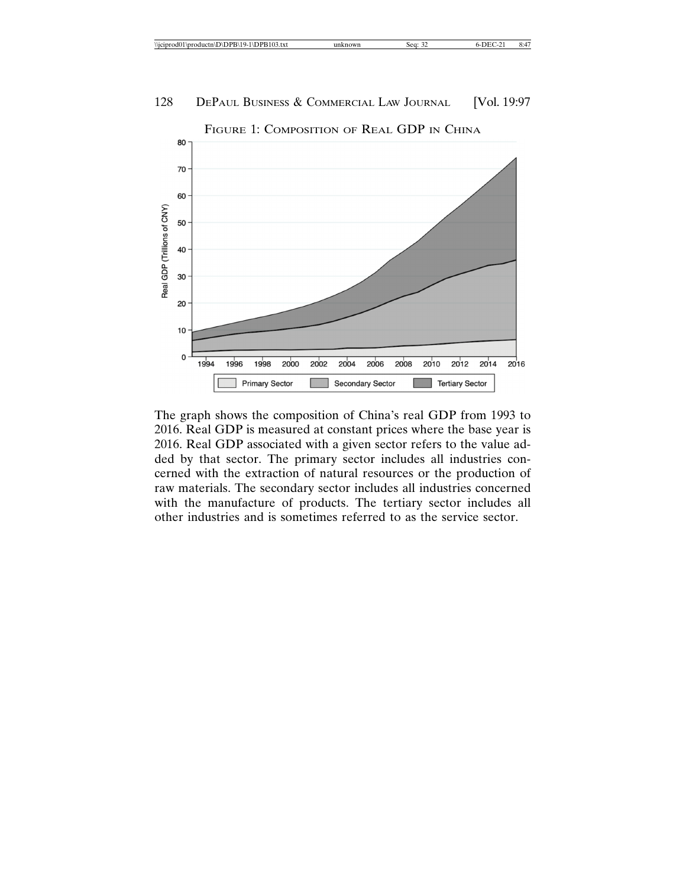

FIGURE 1: COMPOSITION OF REAL GDP IN CHINA

The graph shows the composition of China's real GDP from 1993 to 2016. Real GDP is measured at constant prices where the base year is 2016. Real GDP associated with a given sector refers to the value added by that sector. The primary sector includes all industries concerned with the extraction of natural resources or the production of raw materials. The secondary sector includes all industries concerned with the manufacture of products. The tertiary sector includes all other industries and is sometimes referred to as the service sector.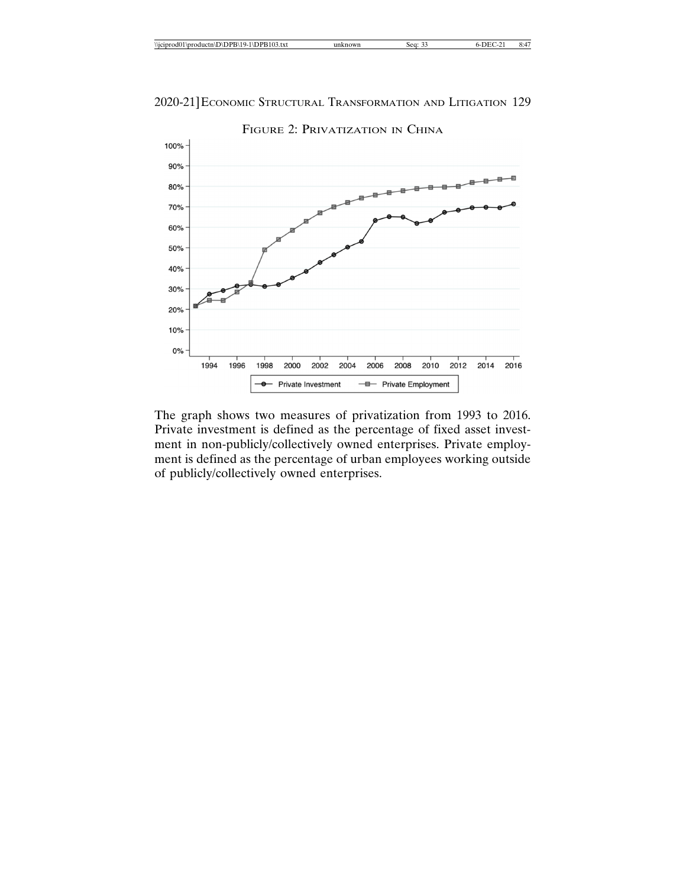| <i><b>Nicipro</b></i><br>odd01<br>19-1\DPB103.txt<br>\productn\D\DPB\19 | : o or<br>$\gamma_{W_L}$<br>- seg. | ~~ |  | . |
|-------------------------------------------------------------------------|------------------------------------|----|--|---|
|-------------------------------------------------------------------------|------------------------------------|----|--|---|



The graph shows two measures of privatization from 1993 to 2016. Private investment is defined as the percentage of fixed asset investment in non-publicly/collectively owned enterprises. Private employment is defined as the percentage of urban employees working outside of publicly/collectively owned enterprises.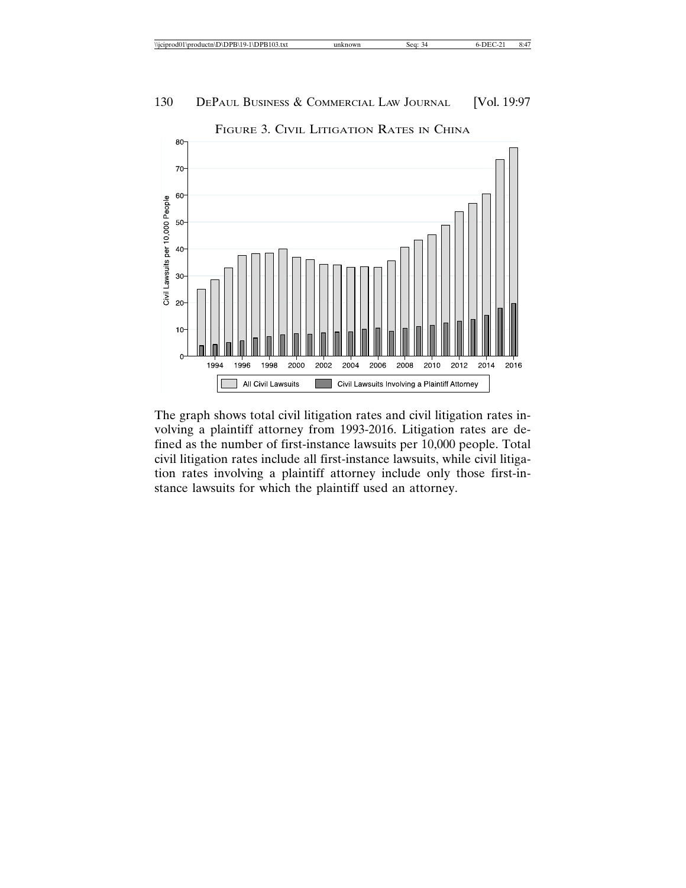

The graph shows total civil litigation rates and civil litigation rates involving a plaintiff attorney from 1993-2016. Litigation rates are defined as the number of first-instance lawsuits per 10,000 people. Total civil litigation rates include all first-instance lawsuits, while civil litigation rates involving a plaintiff attorney include only those first-instance lawsuits for which the plaintiff used an attorney.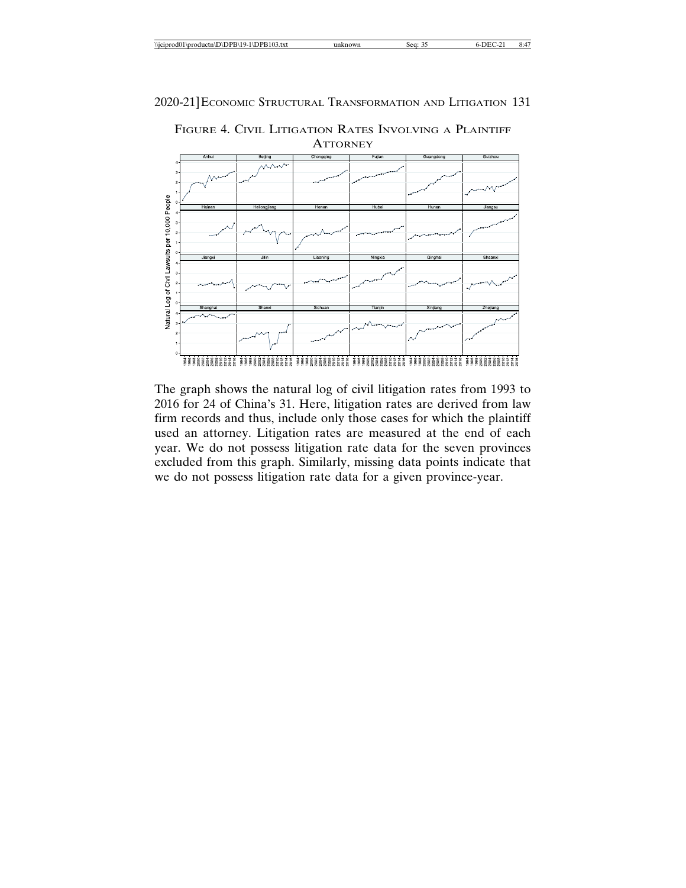

Natural Log of Civil Lawsuits per 10,000 People \*\*\*\*\*\*\*\*\*\*\*\*\* 

FIGURE 4. CIVIL LITIGATION RATES INVOLVING A PLAINTIFF **ATTORNEY** 

The graph shows the natural log of civil litigation rates from 1993 to 2016 for 24 of China's 31. Here, litigation rates are derived from law firm records and thus, include only those cases for which the plaintiff used an attorney. Litigation rates are measured at the end of each year. We do not possess litigation rate data for the seven provinces excluded from this graph. Similarly, missing data points indicate that we do not possess litigation rate data for a given province-year.